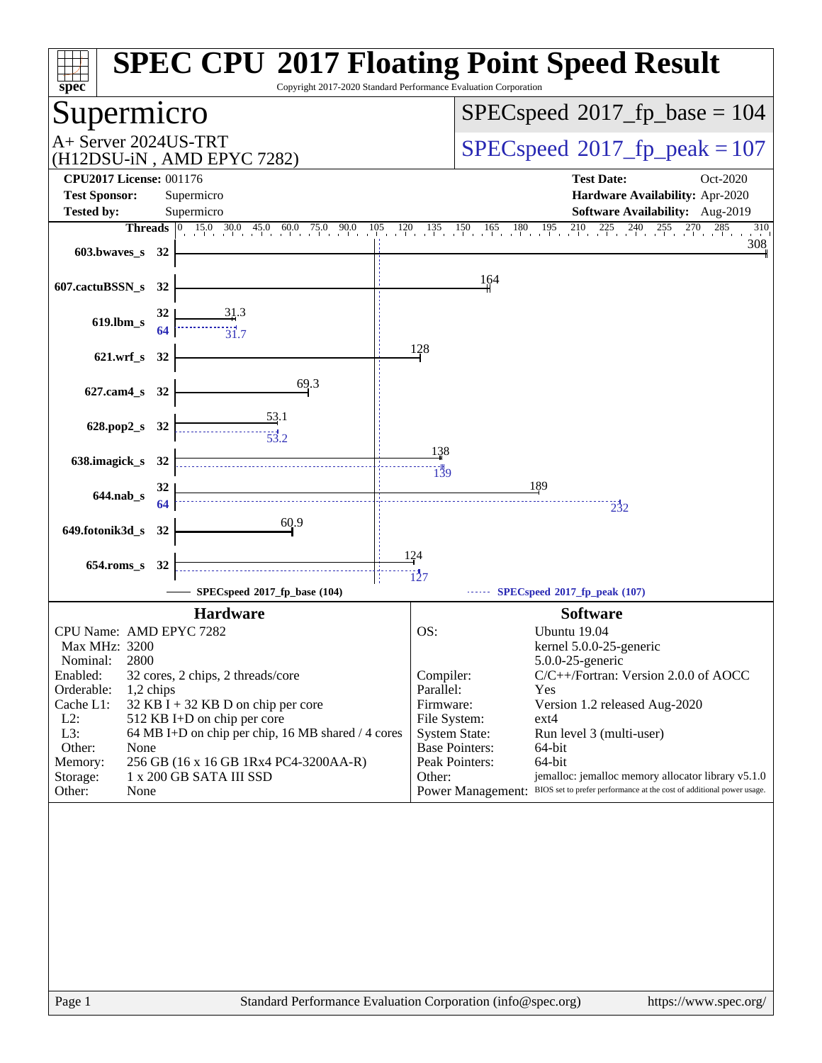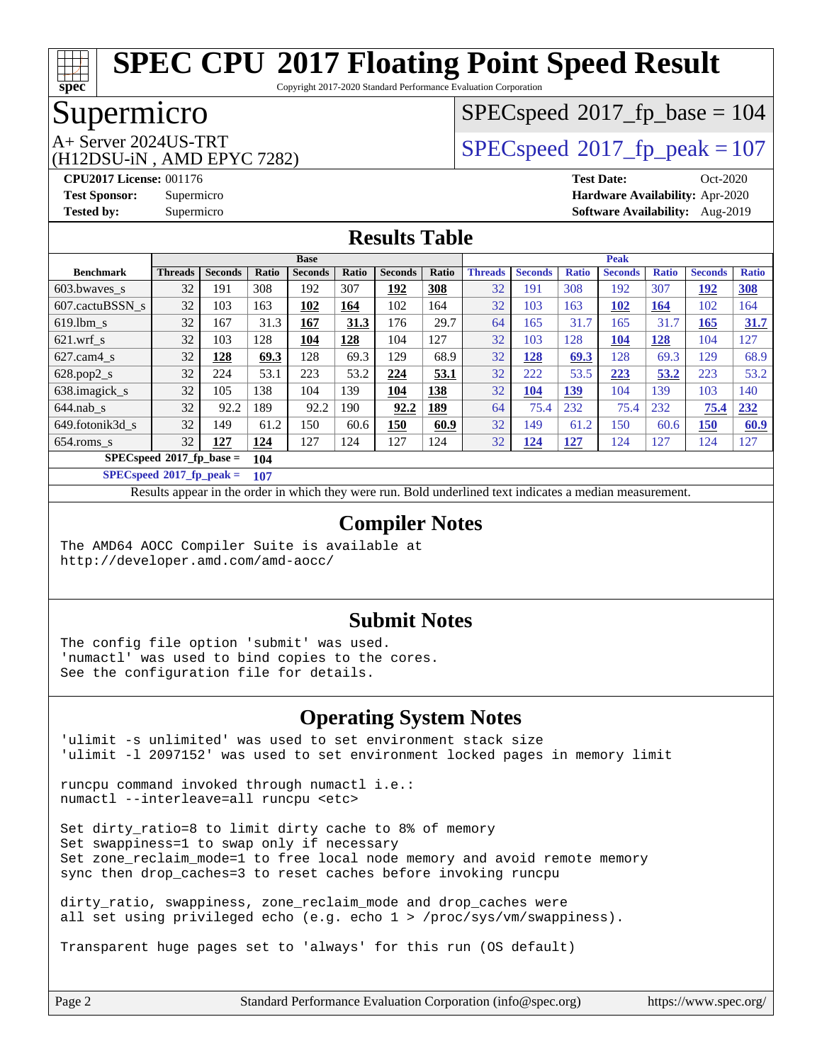Copyright 2017-2020 Standard Performance Evaluation Corporation

# Supermicro

**[spec](http://www.spec.org/)**

(H12DSU-iN , AMD EPYC 7282)

[SPECspeed](http://www.spec.org/auto/cpu2017/Docs/result-fields.html#SPECspeed2017fpbase)<sup>®</sup>2017 fp base = 104

# A+ Server 2024US-TRT  $SPEC speed@2017$  fp peak = 107

**[CPU2017 License:](http://www.spec.org/auto/cpu2017/Docs/result-fields.html#CPU2017License)** 001176 **[Test Date:](http://www.spec.org/auto/cpu2017/Docs/result-fields.html#TestDate)** Oct-2020 **[Test Sponsor:](http://www.spec.org/auto/cpu2017/Docs/result-fields.html#TestSponsor)** Supermicro **[Hardware Availability:](http://www.spec.org/auto/cpu2017/Docs/result-fields.html#HardwareAvailability)** Apr-2020 **[Tested by:](http://www.spec.org/auto/cpu2017/Docs/result-fields.html#Testedby)** Supermicro **[Software Availability:](http://www.spec.org/auto/cpu2017/Docs/result-fields.html#SoftwareAvailability)** Aug-2019

### **[Results Table](http://www.spec.org/auto/cpu2017/Docs/result-fields.html#ResultsTable)**

|                                   | <b>Base</b>    |                |       |                | <b>Peak</b> |                |            |                |                |              |                |              |                |              |
|-----------------------------------|----------------|----------------|-------|----------------|-------------|----------------|------------|----------------|----------------|--------------|----------------|--------------|----------------|--------------|
| <b>Benchmark</b>                  | <b>Threads</b> | <b>Seconds</b> | Ratio | <b>Seconds</b> | Ratio       | <b>Seconds</b> | Ratio      | <b>Threads</b> | <b>Seconds</b> | <b>Ratio</b> | <b>Seconds</b> | <b>Ratio</b> | <b>Seconds</b> | <b>Ratio</b> |
| 603.bwayes_s                      | 32             | 191            | 308   | 192            | 307         | <u> 192</u>    | 308        | 32             | 191            | 308          | 192            | 307          | 192            | <b>308</b>   |
| 607.cactuBSSN s                   | 32             | 103            | 163   | 102            | 164         | 102            | 164        | 32             | 103            | 163          | 102            | 164          | 102            | 164          |
| $619.1$ bm s                      | 32             | 167            | 31.3  | 167            | 31.3        | 176            | 29.7       | 64             | 165            | 31.7         | 165            | 31.7         | 165            | 31.7         |
| $621$ wrf s                       | 32             | 103            | 128   | 104            | 128         | 104            | 127        | 32             | 103            | 128          | 104            | <u>128</u>   | 104            | 127          |
| $627$ .cam4 s                     | 32             | 128            | 69.3  | 128            | 69.3        | 129            | 68.9       | 32             | <u>128</u>     | 69.3         | 128            | 69.3         | 129            | 68.9         |
| $628.pop2_s$                      | 32             | 224            | 53.1  | 223            | 53.2        | 224            | 53.1       | 32             | 222            | 53.5         | 223            | 53.2         | 223            | 53.2         |
| 638. imagick s                    | 32             | 105            | 138   | 104            | 139         | 104            | 138        | 32             | <b>104</b>     | <u>139</u>   | 104            | 139          | 103            | 140          |
| $644$ .nab s                      | 32             | 92.2           | 189   | 92.2           | 190         | 92.2           | <u>189</u> | 64             | 75.4           | 232          | 75.4           | 232          | 75.4           | 232          |
| 649.fotonik3d s                   | 32             | 149            | 61.2  | 150            | 60.6        | <b>150</b>     | 60.9       | 32             | 149            | 61.2         | 150            | 60.6         | 150            | 60.9         |
| $654$ .roms s                     | 32             | 127            | 124   | 127            | 124         | 127            | 124        | 32             | <u>124</u>     | <u>127</u>   | 124            | 127          | 124            | 127          |
| $SPECspeed*2017$ fp base =<br>104 |                |                |       |                |             |                |            |                |                |              |                |              |                |              |

**[SPECspeed](http://www.spec.org/auto/cpu2017/Docs/result-fields.html#SPECspeed2017fppeak)[2017\\_fp\\_peak =](http://www.spec.org/auto/cpu2017/Docs/result-fields.html#SPECspeed2017fppeak) 107**

Results appear in the [order in which they were run.](http://www.spec.org/auto/cpu2017/Docs/result-fields.html#RunOrder) Bold underlined text [indicates a median measurement](http://www.spec.org/auto/cpu2017/Docs/result-fields.html#Median).

### **[Compiler Notes](http://www.spec.org/auto/cpu2017/Docs/result-fields.html#CompilerNotes)**

The AMD64 AOCC Compiler Suite is available at <http://developer.amd.com/amd-aocc/>

#### **[Submit Notes](http://www.spec.org/auto/cpu2017/Docs/result-fields.html#SubmitNotes)**

The config file option 'submit' was used. 'numactl' was used to bind copies to the cores. See the configuration file for details.

#### **[Operating System Notes](http://www.spec.org/auto/cpu2017/Docs/result-fields.html#OperatingSystemNotes)**

'ulimit -s unlimited' was used to set environment stack size 'ulimit -l 2097152' was used to set environment locked pages in memory limit

runcpu command invoked through numactl i.e.: numactl --interleave=all runcpu <etc>

Set dirty\_ratio=8 to limit dirty cache to 8% of memory Set swappiness=1 to swap only if necessary Set zone\_reclaim\_mode=1 to free local node memory and avoid remote memory sync then drop\_caches=3 to reset caches before invoking runcpu

dirty ratio, swappiness, zone reclaim mode and drop caches were all set using privileged echo (e.g. echo 1 > /proc/sys/vm/swappiness).

Transparent huge pages set to 'always' for this run (OS default)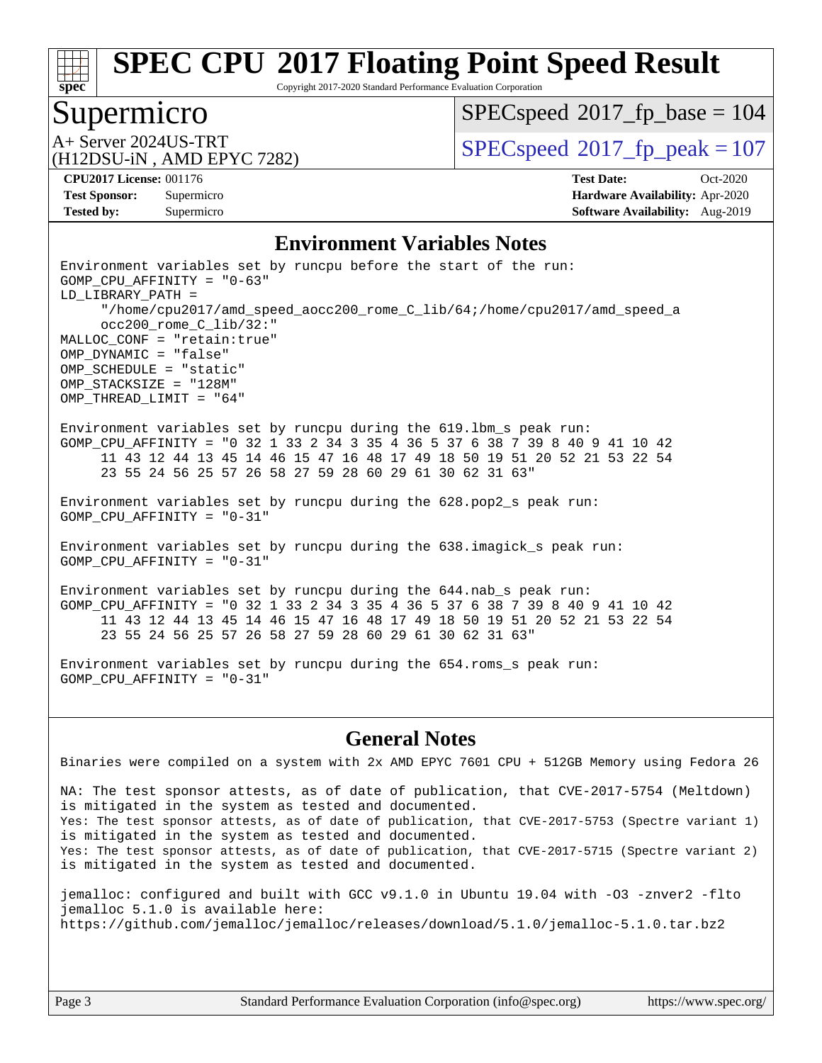Copyright 2017-2020 Standard Performance Evaluation Corporation

### Supermicro

**[spec](http://www.spec.org/)**

[SPECspeed](http://www.spec.org/auto/cpu2017/Docs/result-fields.html#SPECspeed2017fpbase)<sup>®</sup>2017 fp base = 104

(H12DSU-iN , AMD EPYC 7282)

A+ Server 2024US-TRT  $SPEC speed@2017$  fp  $peak = 107$ 

**[Tested by:](http://www.spec.org/auto/cpu2017/Docs/result-fields.html#Testedby)** Supermicro **Supermicro [Software Availability:](http://www.spec.org/auto/cpu2017/Docs/result-fields.html#SoftwareAvailability)** Aug-2019

**[CPU2017 License:](http://www.spec.org/auto/cpu2017/Docs/result-fields.html#CPU2017License)** 001176 **[Test Date:](http://www.spec.org/auto/cpu2017/Docs/result-fields.html#TestDate)** Oct-2020 **[Test Sponsor:](http://www.spec.org/auto/cpu2017/Docs/result-fields.html#TestSponsor)** Supermicro **[Hardware Availability:](http://www.spec.org/auto/cpu2017/Docs/result-fields.html#HardwareAvailability)** Apr-2020

#### **[Environment Variables Notes](http://www.spec.org/auto/cpu2017/Docs/result-fields.html#EnvironmentVariablesNotes)**

Environment variables set by runcpu before the start of the run: GOMP\_CPU\_AFFINITY = "0-63" LD\_LIBRARY\_PATH = "/home/cpu2017/amd\_speed\_aocc200\_rome\_C\_lib/64;/home/cpu2017/amd\_speed\_a occ200\_rome\_C\_lib/32:" MALLOC\_CONF = "retain:true" OMP\_DYNAMIC = "false" OMP\_SCHEDULE = "static" OMP\_STACKSIZE = "128M" OMP\_THREAD\_LIMIT = "64" Environment variables set by runcpu during the 619.lbm\_s peak run: GOMP CPU AFFINITY = "0 32 1 33 2 34 3 35 4 36 5 37 6 38 7 39 8 40 9 41 10 42 11 43 12 44 13 45 14 46 15 47 16 48 17 49 18 50 19 51 20 52 21 53 22 54 23 55 24 56 25 57 26 58 27 59 28 60 29 61 30 62 31 63" Environment variables set by runcpu during the 628.pop2\_s peak run: GOMP\_CPU\_AFFINITY = "0-31" Environment variables set by runcpu during the 638.imagick\_s peak run: GOMP\_CPU\_AFFINITY = "0-31" Environment variables set by runcpu during the 644.nab\_s peak run: GOMP CPU AFFINITY = "0 32 1 33 2 34 3 35 4 36 5 37 6 38 7 39 8 40 9 41 10 42 11 43 12 44 13 45 14 46 15 47 16 48 17 49 18 50 19 51 20 52 21 53 22 54

Environment variables set by runcpu during the 654.roms\_s peak run: GOMP\_CPU\_AFFINITY = "0-31"

23 55 24 56 25 57 26 58 27 59 28 60 29 61 30 62 31 63"

#### **[General Notes](http://www.spec.org/auto/cpu2017/Docs/result-fields.html#GeneralNotes)**

Binaries were compiled on a system with 2x AMD EPYC 7601 CPU + 512GB Memory using Fedora 26

NA: The test sponsor attests, as of date of publication, that CVE-2017-5754 (Meltdown) is mitigated in the system as tested and documented. Yes: The test sponsor attests, as of date of publication, that CVE-2017-5753 (Spectre variant 1) is mitigated in the system as tested and documented. Yes: The test sponsor attests, as of date of publication, that CVE-2017-5715 (Spectre variant 2) is mitigated in the system as tested and documented.

jemalloc: configured and built with GCC v9.1.0 in Ubuntu 19.04 with -O3 -znver2 -flto jemalloc 5.1.0 is available here: <https://github.com/jemalloc/jemalloc/releases/download/5.1.0/jemalloc-5.1.0.tar.bz2>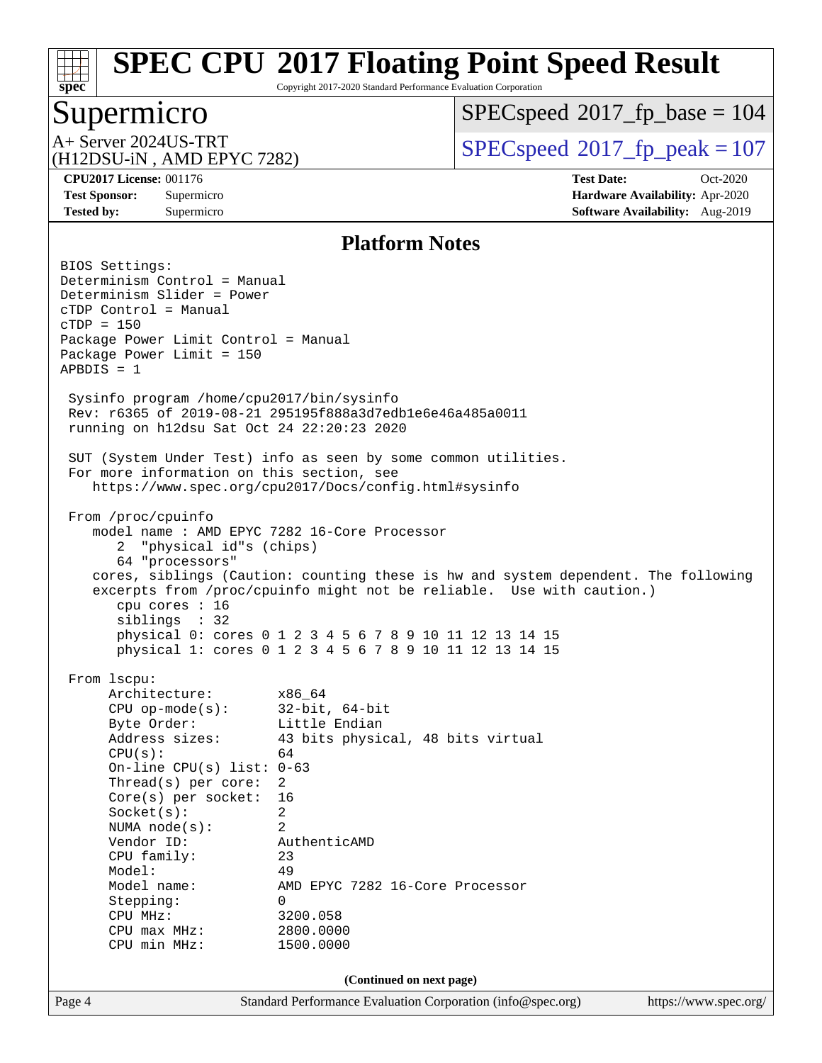Copyright 2017-2020 Standard Performance Evaluation Corporation

### Supermicro

**[spec](http://www.spec.org/)**

[SPECspeed](http://www.spec.org/auto/cpu2017/Docs/result-fields.html#SPECspeed2017fpbase)<sup>®</sup>2017 fp base = 104

(H12DSU-iN , AMD EPYC 7282)

A+ Server 2024US-TRT  $\begin{array}{|l|l|}\n\hline\n\text{A+ Server 2024US-TRT}\n\hline\n\text{A-ATD EBC} & & & \text{SPEC speed} \textcirc 2017\_fp\_peak = 107\n\end{array}$ 

**[CPU2017 License:](http://www.spec.org/auto/cpu2017/Docs/result-fields.html#CPU2017License)** 001176 **[Test Date:](http://www.spec.org/auto/cpu2017/Docs/result-fields.html#TestDate)** Oct-2020 **[Test Sponsor:](http://www.spec.org/auto/cpu2017/Docs/result-fields.html#TestSponsor)** Supermicro **[Hardware Availability:](http://www.spec.org/auto/cpu2017/Docs/result-fields.html#HardwareAvailability)** Apr-2020 **[Tested by:](http://www.spec.org/auto/cpu2017/Docs/result-fields.html#Testedby)** Supermicro **Supermicro [Software Availability:](http://www.spec.org/auto/cpu2017/Docs/result-fields.html#SoftwareAvailability)** Aug-2019

#### **[Platform Notes](http://www.spec.org/auto/cpu2017/Docs/result-fields.html#PlatformNotes)**

Page 4 Standard Performance Evaluation Corporation [\(info@spec.org\)](mailto:info@spec.org) <https://www.spec.org/> BIOS Settings: Determinism Control = Manual Determinism Slider = Power cTDP Control = Manual cTDP = 150 Package Power Limit Control = Manual Package Power Limit = 150 APBDIS = 1 Sysinfo program /home/cpu2017/bin/sysinfo Rev: r6365 of 2019-08-21 295195f888a3d7edb1e6e46a485a0011 running on h12dsu Sat Oct 24 22:20:23 2020 SUT (System Under Test) info as seen by some common utilities. For more information on this section, see <https://www.spec.org/cpu2017/Docs/config.html#sysinfo> From /proc/cpuinfo model name : AMD EPYC 7282 16-Core Processor 2 "physical id"s (chips) 64 "processors" cores, siblings (Caution: counting these is hw and system dependent. The following excerpts from /proc/cpuinfo might not be reliable. Use with caution.) cpu cores : 16 siblings : 32 physical 0: cores 0 1 2 3 4 5 6 7 8 9 10 11 12 13 14 15 physical 1: cores 0 1 2 3 4 5 6 7 8 9 10 11 12 13 14 15 From lscpu: Architecture: x86\_64 CPU op-mode(s): 32-bit, 64-bit Byte Order: Little Endian Address sizes: 43 bits physical, 48 bits virtual  $CPU(s):$  64 On-line CPU(s) list: 0-63 Thread(s) per core: 2 Core(s) per socket: 16 Socket(s): 2 NUMA node(s): 2 Vendor ID: AuthenticAMD CPU family: 23 Model: 49 Model name: AMD EPYC 7282 16-Core Processor Stepping: 0 CPU MHz: 3200.058 CPU max MHz: 2800.0000 CPU min MHz: 1500.0000 **(Continued on next page)**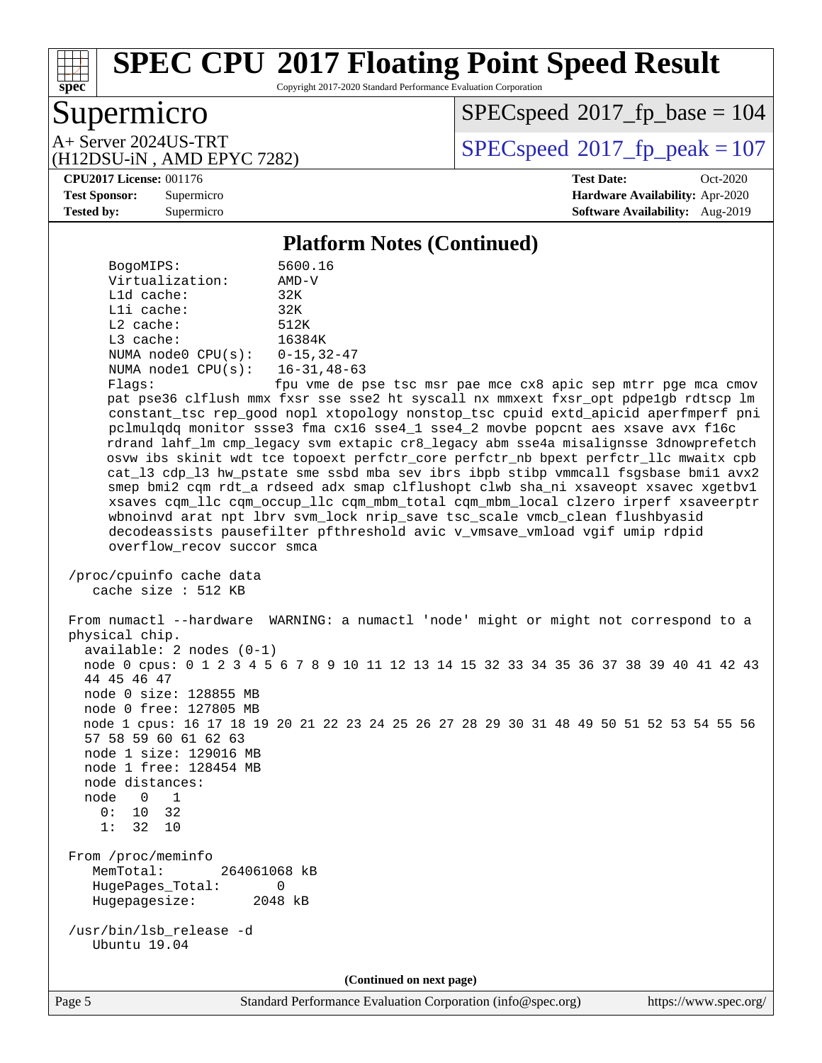Copyright 2017-2020 Standard Performance Evaluation Corporation

# Supermicro

**[spec](http://www.spec.org/)**

 $SPECspeed*2017_fp\_base = 104$  $SPECspeed*2017_fp\_base = 104$ 

(H12DSU-iN , AMD EPYC 7282)

A+ Server 2024US-TRT  $\begin{array}{|l|l|}\n\hline\n\text{A+ Server 2024US-TRT}\n\hline\n\text{A+ DPSU} & \text{AMD FPVC 7282}\n\hline\n\end{array}$ 

**[CPU2017 License:](http://www.spec.org/auto/cpu2017/Docs/result-fields.html#CPU2017License)** 001176 **[Test Date:](http://www.spec.org/auto/cpu2017/Docs/result-fields.html#TestDate)** Oct-2020 **[Test Sponsor:](http://www.spec.org/auto/cpu2017/Docs/result-fields.html#TestSponsor)** Supermicro **[Hardware Availability:](http://www.spec.org/auto/cpu2017/Docs/result-fields.html#HardwareAvailability)** Apr-2020 **[Tested by:](http://www.spec.org/auto/cpu2017/Docs/result-fields.html#Testedby)** Supermicro **[Software Availability:](http://www.spec.org/auto/cpu2017/Docs/result-fields.html#SoftwareAvailability)** Aug-2019

#### **[Platform Notes \(Continued\)](http://www.spec.org/auto/cpu2017/Docs/result-fields.html#PlatformNotes)**

| BogoMIPS:<br>Virtualization:                                             | 5600.16<br>$AMD-V$                                                                                                                                                                                                                                                                                                                                                                                                                                                                                                                                                                                                                                                                                                                                                                                                                                                                                                                        |
|--------------------------------------------------------------------------|-------------------------------------------------------------------------------------------------------------------------------------------------------------------------------------------------------------------------------------------------------------------------------------------------------------------------------------------------------------------------------------------------------------------------------------------------------------------------------------------------------------------------------------------------------------------------------------------------------------------------------------------------------------------------------------------------------------------------------------------------------------------------------------------------------------------------------------------------------------------------------------------------------------------------------------------|
| L1d cache:                                                               | 32K                                                                                                                                                                                                                                                                                                                                                                                                                                                                                                                                                                                                                                                                                                                                                                                                                                                                                                                                       |
| Lli cache:                                                               | 32K                                                                                                                                                                                                                                                                                                                                                                                                                                                                                                                                                                                                                                                                                                                                                                                                                                                                                                                                       |
| $L2$ cache:                                                              | 512K                                                                                                                                                                                                                                                                                                                                                                                                                                                                                                                                                                                                                                                                                                                                                                                                                                                                                                                                      |
| L3 cache:                                                                | 16384K                                                                                                                                                                                                                                                                                                                                                                                                                                                                                                                                                                                                                                                                                                                                                                                                                                                                                                                                    |
| NUMA node0 $CPU(s): 0-15, 32-47$                                         |                                                                                                                                                                                                                                                                                                                                                                                                                                                                                                                                                                                                                                                                                                                                                                                                                                                                                                                                           |
| NUMA $node1$ $CPU(s):$                                                   | $16 - 31, 48 - 63$                                                                                                                                                                                                                                                                                                                                                                                                                                                                                                                                                                                                                                                                                                                                                                                                                                                                                                                        |
| Flags:<br>overflow_recov succor smca                                     | fpu vme de pse tsc msr pae mce cx8 apic sep mtrr pge mca cmov<br>pat pse36 clflush mmx fxsr sse sse2 ht syscall nx mmxext fxsr_opt pdpe1gb rdtscp lm<br>constant_tsc rep_good nopl xtopology nonstop_tsc cpuid extd_apicid aperfmperf pni<br>pclmulqdq monitor ssse3 fma cx16 sse4_1 sse4_2 movbe popcnt aes xsave avx f16c<br>rdrand lahf_lm cmp_legacy svm extapic cr8_legacy abm sse4a misalignsse 3dnowprefetch<br>osvw ibs skinit wdt tce topoext perfctr_core perfctr_nb bpext perfctr_llc mwaitx cpb<br>cat_13 cdp_13 hw_pstate sme ssbd mba sev ibrs ibpb stibp vmmcall fsgsbase bmil avx2<br>smep bmi2 cqm rdt_a rdseed adx smap clflushopt clwb sha_ni xsaveopt xsavec xgetbvl<br>xsaves cqm_llc cqm_occup_llc cqm_mbm_total cqm_mbm_local clzero irperf xsaveerptr<br>wbnoinvd arat npt lbrv svm_lock nrip_save tsc_scale vmcb_clean flushbyasid<br>decodeassists pausefilter pfthreshold avic v_vmsave_vmload vgif umip rdpid |
| /proc/cpuinfo cache data<br>cache size : 512 KB                          |                                                                                                                                                                                                                                                                                                                                                                                                                                                                                                                                                                                                                                                                                                                                                                                                                                                                                                                                           |
| physical chip.<br>$available: 2 nodes (0-1)$<br>44 45 46 47              | From numactl --hardware WARNING: a numactl 'node' might or might not correspond to a<br>node 0 cpus: 0 1 2 3 4 5 6 7 8 9 10 11 12 13 14 15 32 33 34 35 36 37 38 39 40 41 42 43                                                                                                                                                                                                                                                                                                                                                                                                                                                                                                                                                                                                                                                                                                                                                            |
| node 0 size: 128855 MB                                                   |                                                                                                                                                                                                                                                                                                                                                                                                                                                                                                                                                                                                                                                                                                                                                                                                                                                                                                                                           |
| node 0 free: 127805 MB<br>57 58 59 60 61 62 63<br>node 1 size: 129016 MB | node 1 cpus: 16 17 18 19 20 21 22 23 24 25 26 27 28 29 30 31 48 49 50 51 52 53 54 55 56                                                                                                                                                                                                                                                                                                                                                                                                                                                                                                                                                                                                                                                                                                                                                                                                                                                   |
| node 1 free: 128454 MB                                                   |                                                                                                                                                                                                                                                                                                                                                                                                                                                                                                                                                                                                                                                                                                                                                                                                                                                                                                                                           |
| node distances:                                                          |                                                                                                                                                                                                                                                                                                                                                                                                                                                                                                                                                                                                                                                                                                                                                                                                                                                                                                                                           |
| node<br>$\overline{0}$<br>$\overline{\phantom{a}}$                       |                                                                                                                                                                                                                                                                                                                                                                                                                                                                                                                                                                                                                                                                                                                                                                                                                                                                                                                                           |
| 10 32<br>0:<br>1:<br>32 10                                               |                                                                                                                                                                                                                                                                                                                                                                                                                                                                                                                                                                                                                                                                                                                                                                                                                                                                                                                                           |
| From /proc/meminfo                                                       |                                                                                                                                                                                                                                                                                                                                                                                                                                                                                                                                                                                                                                                                                                                                                                                                                                                                                                                                           |
| MemTotal:<br>264061068 kB<br>HugePages_Total:<br>Hugepagesize:           | 0<br>2048 kB                                                                                                                                                                                                                                                                                                                                                                                                                                                                                                                                                                                                                                                                                                                                                                                                                                                                                                                              |
| /usr/bin/lsb_release -d<br>Ubuntu 19.04                                  |                                                                                                                                                                                                                                                                                                                                                                                                                                                                                                                                                                                                                                                                                                                                                                                                                                                                                                                                           |
|                                                                          | (Continued on next page)                                                                                                                                                                                                                                                                                                                                                                                                                                                                                                                                                                                                                                                                                                                                                                                                                                                                                                                  |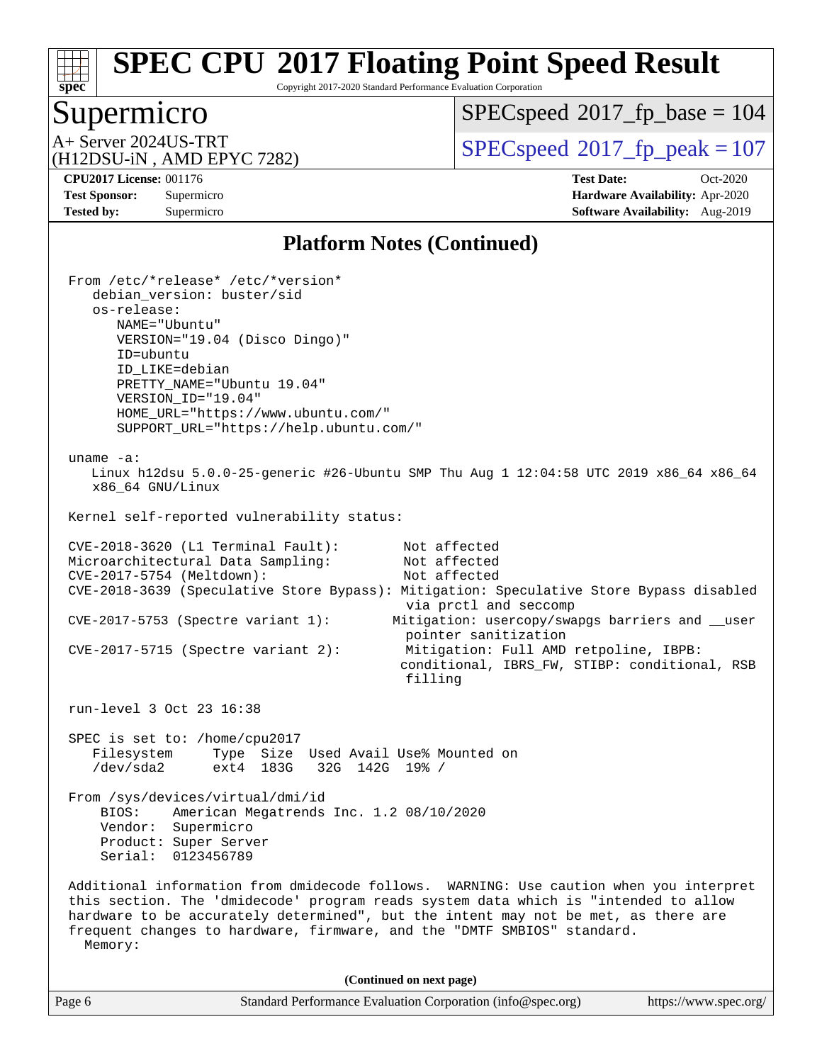Copyright 2017-2020 Standard Performance Evaluation Corporation

# Supermicro

**[spec](http://www.spec.org/)**

 $SPECspeed*2017_fp\_base = 104$  $SPECspeed*2017_fp\_base = 104$ 

(H12DSU-iN , AMD EPYC 7282)

A+ Server 2024US-TRT  $\begin{array}{|l|l|}\n\hline\n\text{A+ Server 2024US-TRT}\n\hline\n\text{A+ DPSU} & \text{AMD FPVC 7282}\n\hline\n\end{array}$ 

**[CPU2017 License:](http://www.spec.org/auto/cpu2017/Docs/result-fields.html#CPU2017License)** 001176 **[Test Date:](http://www.spec.org/auto/cpu2017/Docs/result-fields.html#TestDate)** Oct-2020 **[Test Sponsor:](http://www.spec.org/auto/cpu2017/Docs/result-fields.html#TestSponsor)** Supermicro **[Hardware Availability:](http://www.spec.org/auto/cpu2017/Docs/result-fields.html#HardwareAvailability)** Apr-2020 **[Tested by:](http://www.spec.org/auto/cpu2017/Docs/result-fields.html#Testedby)** Supermicro **[Software Availability:](http://www.spec.org/auto/cpu2017/Docs/result-fields.html#SoftwareAvailability)** Aug-2019

### **[Platform Notes \(Continued\)](http://www.spec.org/auto/cpu2017/Docs/result-fields.html#PlatformNotes)**

| Standard Performance Evaluation Corporation (info@spec.org)<br>https://www.spec.org/<br>Page 6                                                                                                                                                                                                                                                                                                              |
|-------------------------------------------------------------------------------------------------------------------------------------------------------------------------------------------------------------------------------------------------------------------------------------------------------------------------------------------------------------------------------------------------------------|
| (Continued on next page)                                                                                                                                                                                                                                                                                                                                                                                    |
| Product: Super Server<br>0123456789<br>Serial:<br>Additional information from dmidecode follows. WARNING: Use caution when you interpret<br>this section. The 'dmidecode' program reads system data which is "intended to allow<br>hardware to be accurately determined", but the intent may not be met, as there are<br>frequent changes to hardware, firmware, and the "DMTF SMBIOS" standard.<br>Memory: |
| From /sys/devices/virtual/dmi/id<br>BIOS:<br>American Megatrends Inc. 1.2 08/10/2020<br>Vendor: Supermicro                                                                                                                                                                                                                                                                                                  |
| SPEC is set to: /home/cpu2017<br>Filesystem<br>Type Size Used Avail Use% Mounted on<br>$/\text{dev}/\text{sda2}$<br>ext4 183G<br>32G 142G 19% /                                                                                                                                                                                                                                                             |
| run-level 3 Oct 23 16:38                                                                                                                                                                                                                                                                                                                                                                                    |
| pointer sanitization<br>Mitigation: Full AMD retpoline, IBPB:<br>$CVE-2017-5715$ (Spectre variant 2):<br>conditional, IBRS_FW, STIBP: conditional, RSB<br>filling                                                                                                                                                                                                                                           |
| CVE-2018-3639 (Speculative Store Bypass): Mitigation: Speculative Store Bypass disabled<br>via prctl and seccomp<br>CVE-2017-5753 (Spectre variant 1):<br>Mitigation: usercopy/swapgs barriers and __user                                                                                                                                                                                                   |
| CVE-2017-5754 (Meltdown):<br>Not affected                                                                                                                                                                                                                                                                                                                                                                   |
| CVE-2018-3620 (L1 Terminal Fault):<br>Not affected<br>Not affected<br>Microarchitectural Data Sampling:                                                                                                                                                                                                                                                                                                     |
| Kernel self-reported vulnerability status:                                                                                                                                                                                                                                                                                                                                                                  |
| uname $-a$ :<br>Linux h12dsu 5.0.0-25-generic #26-Ubuntu SMP Thu Aug 1 12:04:58 UTC 2019 x86_64 x86_64<br>x86_64 GNU/Linux                                                                                                                                                                                                                                                                                  |
| From /etc/*release* /etc/*version*<br>debian_version: buster/sid<br>os-release:<br>NAME="Ubuntu"<br>VERSION="19.04 (Disco Dingo)"<br>ID=ubuntu<br>ID_LIKE=debian<br>PRETTY_NAME="Ubuntu 19.04"<br>VERSION_ID="19.04"<br>HOME_URL="https://www.ubuntu.com/"<br>SUPPORT_URL="https://help.ubuntu.com/"                                                                                                        |
|                                                                                                                                                                                                                                                                                                                                                                                                             |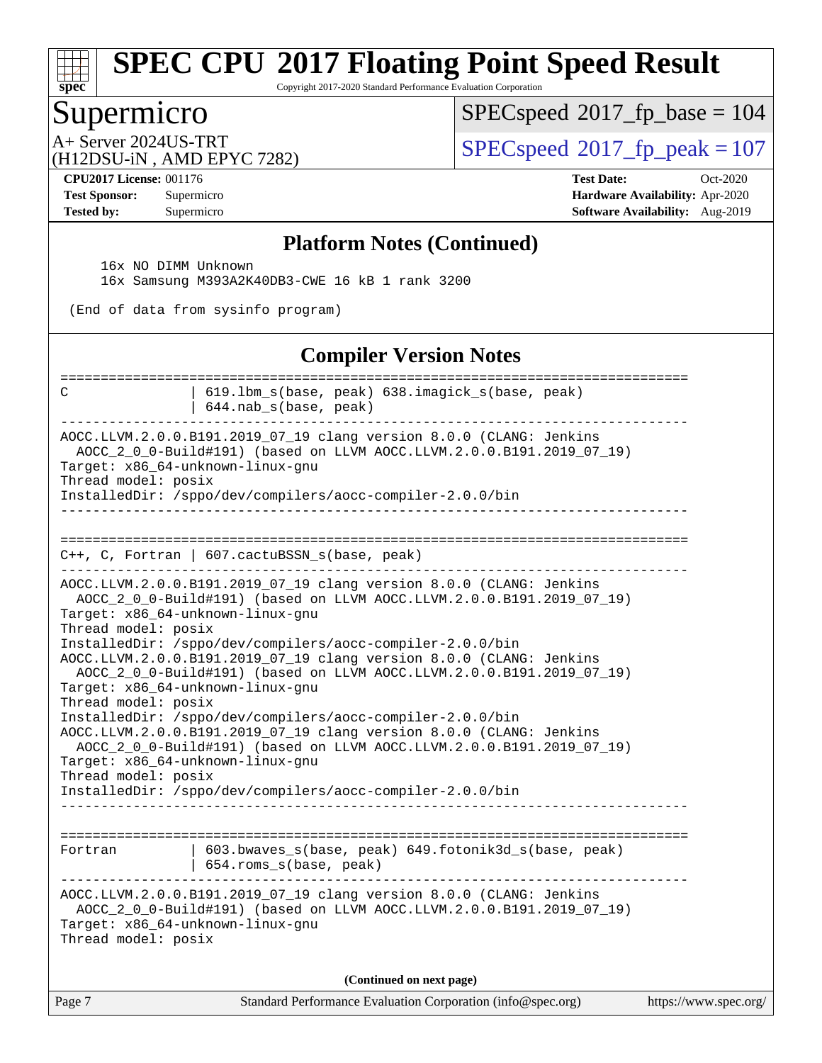Copyright 2017-2020 Standard Performance Evaluation Corporation

### Supermicro

**[spec](http://www.spec.org/)**

 $SPEC speed$ <sup>®</sup> $2017$ \_fp\_base = 104

(H12DSU-iN , AMD EPYC 7282)

 $A+$  Server 2024US-TRT  $\begin{array}{|l|l|}\n\hline\n\text{A+Server 2024US-TRT}\n\hline\n\text{A-OPT} & \text{A-OPT} & \text{SPEC speed} & 2017\n\hline\n\end{array}$ 

**[CPU2017 License:](http://www.spec.org/auto/cpu2017/Docs/result-fields.html#CPU2017License)** 001176 **[Test Date:](http://www.spec.org/auto/cpu2017/Docs/result-fields.html#TestDate)** Oct-2020 **[Test Sponsor:](http://www.spec.org/auto/cpu2017/Docs/result-fields.html#TestSponsor)** Supermicro **[Hardware Availability:](http://www.spec.org/auto/cpu2017/Docs/result-fields.html#HardwareAvailability)** Apr-2020 **[Tested by:](http://www.spec.org/auto/cpu2017/Docs/result-fields.html#Testedby)** Supermicro **[Software Availability:](http://www.spec.org/auto/cpu2017/Docs/result-fields.html#SoftwareAvailability)** Aug-2019

#### **[Platform Notes \(Continued\)](http://www.spec.org/auto/cpu2017/Docs/result-fields.html#PlatformNotes)**

16x NO DIMM Unknown

16x Samsung M393A2K40DB3-CWE 16 kB 1 rank 3200

(End of data from sysinfo program)

#### **[Compiler Version Notes](http://www.spec.org/auto/cpu2017/Docs/result-fields.html#CompilerVersionNotes)**

| C                                                                                                                                                                             | ========================<br>619.1bm_s(base, peak) 638.imagick_s(base, peak)<br>644.nab_s(base, peak)                                                                                                                                                                                                                                                                                                                                                                                                                                                                                                                                |                       |
|-------------------------------------------------------------------------------------------------------------------------------------------------------------------------------|-------------------------------------------------------------------------------------------------------------------------------------------------------------------------------------------------------------------------------------------------------------------------------------------------------------------------------------------------------------------------------------------------------------------------------------------------------------------------------------------------------------------------------------------------------------------------------------------------------------------------------------|-----------------------|
| Target: x86_64-unknown-linux-gnu<br>Thread model: posix                                                                                                                       | AOCC.LLVM.2.0.0.B191.2019_07_19 clang version 8.0.0 (CLANG: Jenkins<br>AOCC_2_0_0-Build#191) (based on LLVM AOCC.LLVM.2.0.0.B191.2019_07_19)<br>InstalledDir: /sppo/dev/compilers/aocc-compiler-2.0.0/bin                                                                                                                                                                                                                                                                                                                                                                                                                           |                       |
|                                                                                                                                                                               | $C_{++}$ , C, Fortran   607.cactuBSSN_s(base, peak)                                                                                                                                                                                                                                                                                                                                                                                                                                                                                                                                                                                 |                       |
| Target: x86_64-unknown-linux-gnu<br>Thread model: posix<br>Target: x86_64-unknown-linux-gnu<br>Thread model: posix<br>Target: x86_64-unknown-linux-gnu<br>Thread model: posix | AOCC.LLVM.2.0.0.B191.2019_07_19 clang version 8.0.0 (CLANG: Jenkins<br>AOCC_2_0_0-Build#191) (based on LLVM AOCC.LLVM.2.0.0.B191.2019_07_19)<br>InstalledDir: /sppo/dev/compilers/aocc-compiler-2.0.0/bin<br>AOCC.LLVM.2.0.0.B191.2019_07_19 clang version 8.0.0 (CLANG: Jenkins<br>AOCC_2_0_0-Build#191) (based on LLVM AOCC.LLVM.2.0.0.B191.2019_07_19)<br>InstalledDir: /sppo/dev/compilers/aocc-compiler-2.0.0/bin<br>AOCC.LLVM.2.0.0.B191.2019_07_19 clang version 8.0.0 (CLANG: Jenkins<br>AOCC_2_0_0-Build#191) (based on LLVM AOCC.LLVM.2.0.0.B191.2019_07_19)<br>InstalledDir: /sppo/dev/compilers/aocc-compiler-2.0.0/bin |                       |
| Fortran                                                                                                                                                                       | 603.bwaves_s(base, peak) 649.fotonik3d_s(base, peak)<br>654.roms_s(base, peak)                                                                                                                                                                                                                                                                                                                                                                                                                                                                                                                                                      |                       |
| Target: x86_64-unknown-linux-gnu<br>Thread model: posix                                                                                                                       | AOCC.LLVM.2.0.0.B191.2019_07_19 clang version 8.0.0 (CLANG: Jenkins<br>AOCC_2_0_0-Build#191) (based on LLVM AOCC.LLVM.2.0.0.B191.2019_07_19)                                                                                                                                                                                                                                                                                                                                                                                                                                                                                        |                       |
|                                                                                                                                                                               | (Continued on next page)                                                                                                                                                                                                                                                                                                                                                                                                                                                                                                                                                                                                            |                       |
| Page 7                                                                                                                                                                        | Standard Performance Evaluation Corporation (info@spec.org)                                                                                                                                                                                                                                                                                                                                                                                                                                                                                                                                                                         | https://www.spec.org/ |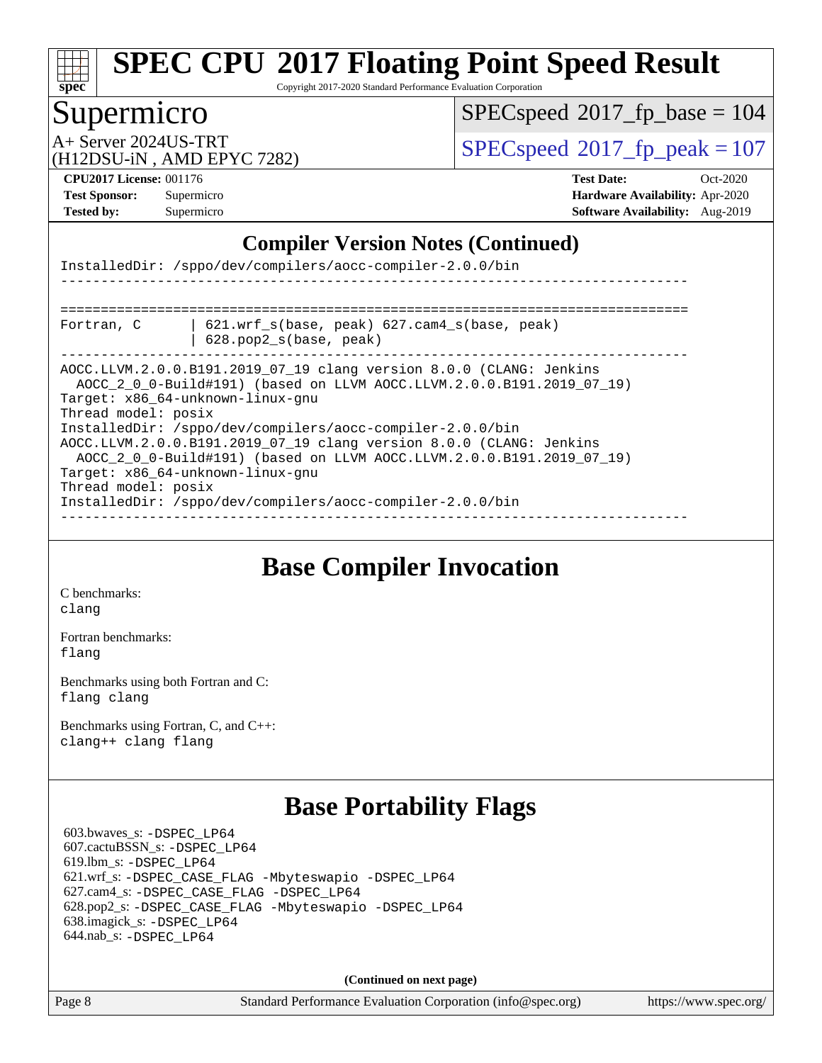# **[spec](http://www.spec.org/)**

# **[SPEC CPU](http://www.spec.org/auto/cpu2017/Docs/result-fields.html#SPECCPU2017FloatingPointSpeedResult)[2017 Floating Point Speed Result](http://www.spec.org/auto/cpu2017/Docs/result-fields.html#SPECCPU2017FloatingPointSpeedResult)**

Copyright 2017-2020 Standard Performance Evaluation Corporation

## Supermicro

 $SPEC speed$ <sup>®</sup> $2017$ \_fp\_base = 104

(H12DSU-iN , AMD EPYC 7282)

A+ Server 2024US-TRT [SPECspeed](http://www.spec.org/auto/cpu2017/Docs/result-fields.html#SPECspeed2017fppeak)[2017\\_fp\\_peak = 1](http://www.spec.org/auto/cpu2017/Docs/result-fields.html#SPECspeed2017fppeak)07

**[CPU2017 License:](http://www.spec.org/auto/cpu2017/Docs/result-fields.html#CPU2017License)** 001176 **[Test Date:](http://www.spec.org/auto/cpu2017/Docs/result-fields.html#TestDate)** Oct-2020 **[Test Sponsor:](http://www.spec.org/auto/cpu2017/Docs/result-fields.html#TestSponsor)** Supermicro **[Hardware Availability:](http://www.spec.org/auto/cpu2017/Docs/result-fields.html#HardwareAvailability)** Apr-2020 **[Tested by:](http://www.spec.org/auto/cpu2017/Docs/result-fields.html#Testedby)** Supermicro **[Software Availability:](http://www.spec.org/auto/cpu2017/Docs/result-fields.html#SoftwareAvailability)** Aug-2019

### **[Compiler Version Notes \(Continued\)](http://www.spec.org/auto/cpu2017/Docs/result-fields.html#CompilerVersionNotes)**

| InstalledDir: /sppo/dev/compilers/aocc-compiler-2.0.0/bin                                                                                                                                                                                                                                                                                                                                                                                                                                                                                    |  |  |  |  |
|----------------------------------------------------------------------------------------------------------------------------------------------------------------------------------------------------------------------------------------------------------------------------------------------------------------------------------------------------------------------------------------------------------------------------------------------------------------------------------------------------------------------------------------------|--|--|--|--|
|                                                                                                                                                                                                                                                                                                                                                                                                                                                                                                                                              |  |  |  |  |
| $621.$ wrf $s(base, peak)$ $627.$ cam4 $s(base, peak)$<br>Fortran, C<br>628.pop2_s(base, peak)                                                                                                                                                                                                                                                                                                                                                                                                                                               |  |  |  |  |
| AOCC.LLVM.2.0.0.B191.2019_07_19 clang version 8.0.0 (CLANG: Jenkins<br>AOCC 2 0 0-Build#191) (based on LLVM AOCC.LLVM.2.0.0.B191.2019 07 19)<br>Target: x86 64-unknown-linux-gnu<br>Thread model: posix<br>InstalledDir: /sppo/dev/compilers/aocc-compiler-2.0.0/bin<br>AOCC.LLVM.2.0.0.B191.2019_07_19 clang version 8.0.0 (CLANG: Jenkins<br>AOCC_2_0_0-Build#191) (based on LLVM AOCC.LLVM.2.0.0.B191.2019_07_19)<br>Target: x86 64-unknown-linux-gnu<br>Thread model: posix<br>InstalledDir: /sppo/dev/compilers/aocc-compiler-2.0.0/bin |  |  |  |  |

**[Base Compiler Invocation](http://www.spec.org/auto/cpu2017/Docs/result-fields.html#BaseCompilerInvocation)**

[C benchmarks](http://www.spec.org/auto/cpu2017/Docs/result-fields.html#Cbenchmarks): [clang](http://www.spec.org/cpu2017/results/res2020q4/cpu2017-20201027-24304.flags.html#user_CCbase_clang-c)

[Fortran benchmarks](http://www.spec.org/auto/cpu2017/Docs/result-fields.html#Fortranbenchmarks): [flang](http://www.spec.org/cpu2017/results/res2020q4/cpu2017-20201027-24304.flags.html#user_FCbase_flang)

[Benchmarks using both Fortran and C](http://www.spec.org/auto/cpu2017/Docs/result-fields.html#BenchmarksusingbothFortranandC): [flang](http://www.spec.org/cpu2017/results/res2020q4/cpu2017-20201027-24304.flags.html#user_CC_FCbase_flang) [clang](http://www.spec.org/cpu2017/results/res2020q4/cpu2017-20201027-24304.flags.html#user_CC_FCbase_clang-c)

[Benchmarks using Fortran, C, and C++:](http://www.spec.org/auto/cpu2017/Docs/result-fields.html#BenchmarksusingFortranCandCXX) [clang++](http://www.spec.org/cpu2017/results/res2020q4/cpu2017-20201027-24304.flags.html#user_CC_CXX_FCbase_clang-cpp) [clang](http://www.spec.org/cpu2017/results/res2020q4/cpu2017-20201027-24304.flags.html#user_CC_CXX_FCbase_clang-c) [flang](http://www.spec.org/cpu2017/results/res2020q4/cpu2017-20201027-24304.flags.html#user_CC_CXX_FCbase_flang)

### **[Base Portability Flags](http://www.spec.org/auto/cpu2017/Docs/result-fields.html#BasePortabilityFlags)**

 603.bwaves\_s: [-DSPEC\\_LP64](http://www.spec.org/cpu2017/results/res2020q4/cpu2017-20201027-24304.flags.html#suite_baseEXTRA_PORTABILITY603_bwaves_s_DSPEC_LP64) 607.cactuBSSN\_s: [-DSPEC\\_LP64](http://www.spec.org/cpu2017/results/res2020q4/cpu2017-20201027-24304.flags.html#suite_baseEXTRA_PORTABILITY607_cactuBSSN_s_DSPEC_LP64) 619.lbm\_s: [-DSPEC\\_LP64](http://www.spec.org/cpu2017/results/res2020q4/cpu2017-20201027-24304.flags.html#suite_baseEXTRA_PORTABILITY619_lbm_s_DSPEC_LP64) 621.wrf\_s: [-DSPEC\\_CASE\\_FLAG](http://www.spec.org/cpu2017/results/res2020q4/cpu2017-20201027-24304.flags.html#b621.wrf_s_baseCPORTABILITY_DSPEC_CASE_FLAG) [-Mbyteswapio](http://www.spec.org/cpu2017/results/res2020q4/cpu2017-20201027-24304.flags.html#user_baseFPORTABILITY621_wrf_s_F-mbyteswapio_543c39ce38db59bcbc3b888917ef58c313007ae1c27520b689e012995ae261114051d1d5efcb4182d175ce22a6a15532d3a9999882dd2c360e6d853f41da6883) [-DSPEC\\_LP64](http://www.spec.org/cpu2017/results/res2020q4/cpu2017-20201027-24304.flags.html#suite_baseEXTRA_PORTABILITY621_wrf_s_DSPEC_LP64) 627.cam4\_s: [-DSPEC\\_CASE\\_FLAG](http://www.spec.org/cpu2017/results/res2020q4/cpu2017-20201027-24304.flags.html#b627.cam4_s_basePORTABILITY_DSPEC_CASE_FLAG) [-DSPEC\\_LP64](http://www.spec.org/cpu2017/results/res2020q4/cpu2017-20201027-24304.flags.html#suite_baseEXTRA_PORTABILITY627_cam4_s_DSPEC_LP64) 628.pop2\_s: [-DSPEC\\_CASE\\_FLAG](http://www.spec.org/cpu2017/results/res2020q4/cpu2017-20201027-24304.flags.html#b628.pop2_s_baseCPORTABILITY_DSPEC_CASE_FLAG) [-Mbyteswapio](http://www.spec.org/cpu2017/results/res2020q4/cpu2017-20201027-24304.flags.html#user_baseFPORTABILITY628_pop2_s_F-mbyteswapio_543c39ce38db59bcbc3b888917ef58c313007ae1c27520b689e012995ae261114051d1d5efcb4182d175ce22a6a15532d3a9999882dd2c360e6d853f41da6883) [-DSPEC\\_LP64](http://www.spec.org/cpu2017/results/res2020q4/cpu2017-20201027-24304.flags.html#suite_baseEXTRA_PORTABILITY628_pop2_s_DSPEC_LP64) 638.imagick\_s: [-DSPEC\\_LP64](http://www.spec.org/cpu2017/results/res2020q4/cpu2017-20201027-24304.flags.html#suite_baseEXTRA_PORTABILITY638_imagick_s_DSPEC_LP64) 644.nab\_s: [-DSPEC\\_LP64](http://www.spec.org/cpu2017/results/res2020q4/cpu2017-20201027-24304.flags.html#suite_baseEXTRA_PORTABILITY644_nab_s_DSPEC_LP64)

**(Continued on next page)**

Page 8 Standard Performance Evaluation Corporation [\(info@spec.org\)](mailto:info@spec.org) <https://www.spec.org/>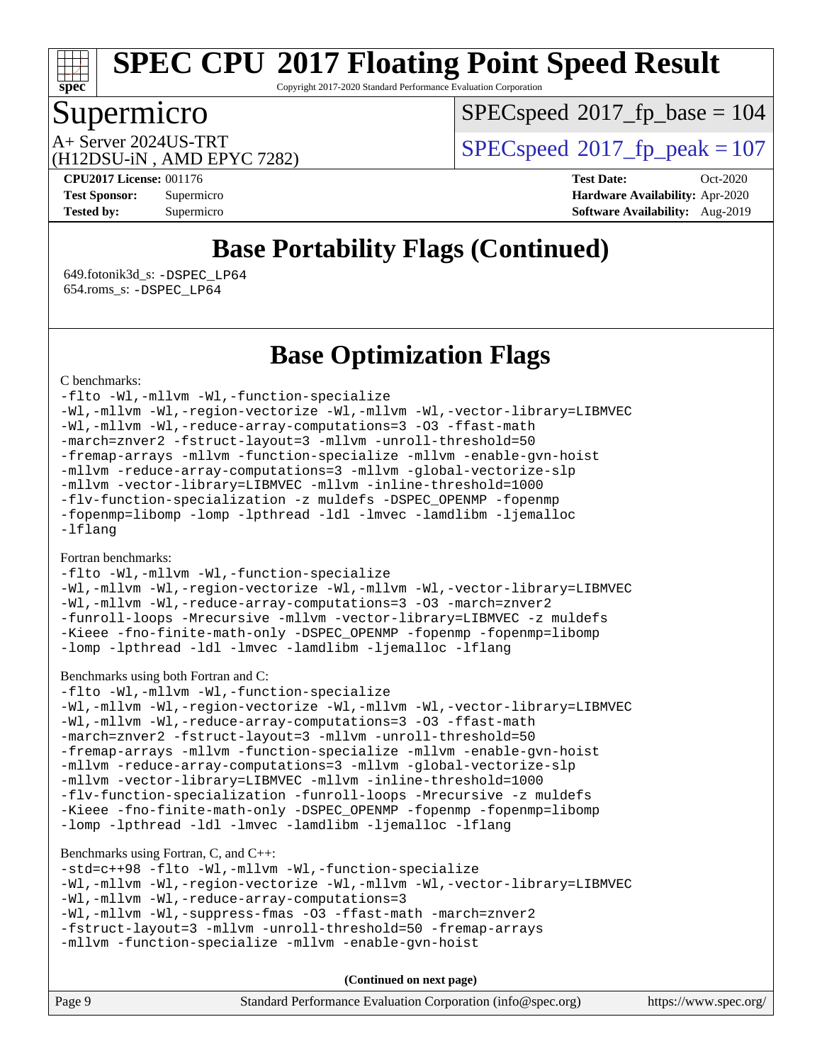# **[spec](http://www.spec.org/)**

# **[SPEC CPU](http://www.spec.org/auto/cpu2017/Docs/result-fields.html#SPECCPU2017FloatingPointSpeedResult)[2017 Floating Point Speed Result](http://www.spec.org/auto/cpu2017/Docs/result-fields.html#SPECCPU2017FloatingPointSpeedResult)**

Copyright 2017-2020 Standard Performance Evaluation Corporation

## Supermicro

 $SPECspeed*2017_fp\_base = 104$  $SPECspeed*2017_fp\_base = 104$ 

(H12DSU-iN , AMD EPYC 7282)

A+ Server 2024US-TRT  $SPEC speed@2017$  fp  $peak = 107$ 

**[CPU2017 License:](http://www.spec.org/auto/cpu2017/Docs/result-fields.html#CPU2017License)** 001176 **[Test Date:](http://www.spec.org/auto/cpu2017/Docs/result-fields.html#TestDate)** Oct-2020 **[Test Sponsor:](http://www.spec.org/auto/cpu2017/Docs/result-fields.html#TestSponsor)** Supermicro **[Hardware Availability:](http://www.spec.org/auto/cpu2017/Docs/result-fields.html#HardwareAvailability)** Apr-2020 **[Tested by:](http://www.spec.org/auto/cpu2017/Docs/result-fields.html#Testedby)** Supermicro **Supermicro [Software Availability:](http://www.spec.org/auto/cpu2017/Docs/result-fields.html#SoftwareAvailability)** Aug-2019

# **[Base Portability Flags \(Continued\)](http://www.spec.org/auto/cpu2017/Docs/result-fields.html#BasePortabilityFlags)**

 649.fotonik3d\_s: [-DSPEC\\_LP64](http://www.spec.org/cpu2017/results/res2020q4/cpu2017-20201027-24304.flags.html#suite_baseEXTRA_PORTABILITY649_fotonik3d_s_DSPEC_LP64) 654.roms\_s: [-DSPEC\\_LP64](http://www.spec.org/cpu2017/results/res2020q4/cpu2017-20201027-24304.flags.html#suite_baseEXTRA_PORTABILITY654_roms_s_DSPEC_LP64)

### **[Base Optimization Flags](http://www.spec.org/auto/cpu2017/Docs/result-fields.html#BaseOptimizationFlags)**

#### [C benchmarks](http://www.spec.org/auto/cpu2017/Docs/result-fields.html#Cbenchmarks):

[-flto](http://www.spec.org/cpu2017/results/res2020q4/cpu2017-20201027-24304.flags.html#user_CCbase_aocc-flto) [-Wl,-mllvm -Wl,-function-specialize](http://www.spec.org/cpu2017/results/res2020q4/cpu2017-20201027-24304.flags.html#user_CCbase_F-function-specialize_7e7e661e57922243ee67c9a1251cb8910e607325179a0ce7f2884e09a6f5d4a5ef0ae4f37e8a2a11c95fc48e931f06dc2b6016f14b511fcb441e048bef1b065a) [-Wl,-mllvm -Wl,-region-vectorize](http://www.spec.org/cpu2017/results/res2020q4/cpu2017-20201027-24304.flags.html#user_CCbase_F-region-vectorize_fb6c6b5aa293c88efc6c7c2b52b20755e943585b1fe8658c35afef78727fff56e1a56891413c30e36b8e2a6f9a71126986319243e80eb6110b78b288f533c52b) [-Wl,-mllvm -Wl,-vector-library=LIBMVEC](http://www.spec.org/cpu2017/results/res2020q4/cpu2017-20201027-24304.flags.html#user_CCbase_F-use-vector-library_0a14b27fae317f283640384a31f7bfcc2bd4c1d0b5cfc618a3a430800c9b20217b00f61303eff223a3251b4f06ffbc9739dc5296db9d1fbb9ad24a3939d86d66) [-Wl,-mllvm -Wl,-reduce-array-computations=3](http://www.spec.org/cpu2017/results/res2020q4/cpu2017-20201027-24304.flags.html#user_CCbase_F-reduce-array-computations_b882aefe7a5dda4e33149f6299762b9a720dace3e498e13756f4c04e5a19edf5315c1f3993de2e61ec41e8c206231f84e05da7040e1bb5d69ba27d10a12507e4) [-O3](http://www.spec.org/cpu2017/results/res2020q4/cpu2017-20201027-24304.flags.html#user_CCbase_F-O3) [-ffast-math](http://www.spec.org/cpu2017/results/res2020q4/cpu2017-20201027-24304.flags.html#user_CCbase_aocc-ffast-math) [-march=znver2](http://www.spec.org/cpu2017/results/res2020q4/cpu2017-20201027-24304.flags.html#user_CCbase_aocc-march_3e2e19cff2eeef60c5d90b059483627c9ea47eca6d66670dbd53f9185f6439e27eb5e104cf773e9e8ab18c8842ce63e461a3e948d0214bd567ef3ade411bf467) [-fstruct-layout=3](http://www.spec.org/cpu2017/results/res2020q4/cpu2017-20201027-24304.flags.html#user_CCbase_F-struct-layout) [-mllvm -unroll-threshold=50](http://www.spec.org/cpu2017/results/res2020q4/cpu2017-20201027-24304.flags.html#user_CCbase_F-unroll-threshold_458874500b2c105d6d5cb4d7a611c40e2b16e9e3d26b355fea72d644c3673b4de4b3932662f0ed3dbec75c491a13da2d2ca81180bd779dc531083ef1e1e549dc) [-fremap-arrays](http://www.spec.org/cpu2017/results/res2020q4/cpu2017-20201027-24304.flags.html#user_CCbase_F-fremap-arrays) [-mllvm -function-specialize](http://www.spec.org/cpu2017/results/res2020q4/cpu2017-20201027-24304.flags.html#user_CCbase_F-function-specialize_233b3bdba86027f1b094368157e481c5bc59f40286dc25bfadc1858dcd5745c24fd30d5f188710db7fea399bcc9f44a80b3ce3aacc70a8870250c3ae5e1f35b8) [-mllvm -enable-gvn-hoist](http://www.spec.org/cpu2017/results/res2020q4/cpu2017-20201027-24304.flags.html#user_CCbase_F-enable-gvn-hoist_e5856354646dd6ca1333a0ad99b817e4cf8932b91b82809fd8fd47ceff7b22a89eba5c98fd3e3fa5200368fd772cec3dd56abc3c8f7b655a71b9f9848dddedd5) [-mllvm -reduce-array-computations=3](http://www.spec.org/cpu2017/results/res2020q4/cpu2017-20201027-24304.flags.html#user_CCbase_F-reduce-array-computations_aceadb8604558b566e0e3a0d7a3c1533923dd1fa0889614e16288028922629a28d5695c24d3b3be4306b1e311c54317dfffe3a2e57fbcaabc737a1798de39145) [-mllvm -global-vectorize-slp](http://www.spec.org/cpu2017/results/res2020q4/cpu2017-20201027-24304.flags.html#user_CCbase_F-global-vectorize-slp_a3935e8627af4ced727033b1ffd4db27f4d541a363d28d82bf4c2925fb3a0fd4115d6e42d13a2829f9e024d6608eb67a85cb49770f2da5c5ac8dbc737afad603) [-mllvm -vector-library=LIBMVEC](http://www.spec.org/cpu2017/results/res2020q4/cpu2017-20201027-24304.flags.html#user_CCbase_F-use-vector-library_e584e20b4f7ec96aa109254b65d8e01d864f3d68580371b9d93ed7c338191d4cfce20c3c864632264effc6bbe4c7c38153d02096a342ee92501c4a53204a7871) [-mllvm -inline-threshold=1000](http://www.spec.org/cpu2017/results/res2020q4/cpu2017-20201027-24304.flags.html#user_CCbase_dragonegg-llvm-inline-threshold_b7832241b0a6397e4ecdbaf0eb7defdc10f885c2a282fa3240fdc99844d543fda39cf8a4a9dccf68cf19b5438ac3b455264f478df15da0f4988afa40d8243bab) [-flv-function-specialization](http://www.spec.org/cpu2017/results/res2020q4/cpu2017-20201027-24304.flags.html#user_CCbase_F-flv-function-specialization) [-z muldefs](http://www.spec.org/cpu2017/results/res2020q4/cpu2017-20201027-24304.flags.html#user_CCbase_aocc-muldefs) [-DSPEC\\_OPENMP](http://www.spec.org/cpu2017/results/res2020q4/cpu2017-20201027-24304.flags.html#suite_CCbase_DSPEC_OPENMP) [-fopenmp](http://www.spec.org/cpu2017/results/res2020q4/cpu2017-20201027-24304.flags.html#user_CCbase_aocc-fopenmp) [-fopenmp=libomp](http://www.spec.org/cpu2017/results/res2020q4/cpu2017-20201027-24304.flags.html#user_CCbase_aocc-fopenmp_3eb6ab80166bcc84161ff8c20c8d5bc344f88119f45620444596454f7d72e99b7a0ceefc2d1b4d190bd07306bbfdfc20f11f5a2dc69c9b03c72239f8406741c3) [-lomp](http://www.spec.org/cpu2017/results/res2020q4/cpu2017-20201027-24304.flags.html#user_CCbase_F-lomp) [-lpthread](http://www.spec.org/cpu2017/results/res2020q4/cpu2017-20201027-24304.flags.html#user_CCbase_F-lpthread) [-ldl](http://www.spec.org/cpu2017/results/res2020q4/cpu2017-20201027-24304.flags.html#user_CCbase_F-ldl) [-lmvec](http://www.spec.org/cpu2017/results/res2020q4/cpu2017-20201027-24304.flags.html#user_CCbase_F-lmvec) [-lamdlibm](http://www.spec.org/cpu2017/results/res2020q4/cpu2017-20201027-24304.flags.html#user_CCbase_F-lamdlibm) [-ljemalloc](http://www.spec.org/cpu2017/results/res2020q4/cpu2017-20201027-24304.flags.html#user_CCbase_jemalloc-lib) [-lflang](http://www.spec.org/cpu2017/results/res2020q4/cpu2017-20201027-24304.flags.html#user_CCbase_F-lflang)

#### [Fortran benchmarks](http://www.spec.org/auto/cpu2017/Docs/result-fields.html#Fortranbenchmarks):

[-flto](http://www.spec.org/cpu2017/results/res2020q4/cpu2017-20201027-24304.flags.html#user_FCbase_aocc-flto) [-Wl,-mllvm -Wl,-function-specialize](http://www.spec.org/cpu2017/results/res2020q4/cpu2017-20201027-24304.flags.html#user_FCbase_F-function-specialize_7e7e661e57922243ee67c9a1251cb8910e607325179a0ce7f2884e09a6f5d4a5ef0ae4f37e8a2a11c95fc48e931f06dc2b6016f14b511fcb441e048bef1b065a) [-Wl,-mllvm -Wl,-region-vectorize](http://www.spec.org/cpu2017/results/res2020q4/cpu2017-20201027-24304.flags.html#user_FCbase_F-region-vectorize_fb6c6b5aa293c88efc6c7c2b52b20755e943585b1fe8658c35afef78727fff56e1a56891413c30e36b8e2a6f9a71126986319243e80eb6110b78b288f533c52b) [-Wl,-mllvm -Wl,-vector-library=LIBMVEC](http://www.spec.org/cpu2017/results/res2020q4/cpu2017-20201027-24304.flags.html#user_FCbase_F-use-vector-library_0a14b27fae317f283640384a31f7bfcc2bd4c1d0b5cfc618a3a430800c9b20217b00f61303eff223a3251b4f06ffbc9739dc5296db9d1fbb9ad24a3939d86d66) [-Wl,-mllvm -Wl,-reduce-array-computations=3](http://www.spec.org/cpu2017/results/res2020q4/cpu2017-20201027-24304.flags.html#user_FCbase_F-reduce-array-computations_b882aefe7a5dda4e33149f6299762b9a720dace3e498e13756f4c04e5a19edf5315c1f3993de2e61ec41e8c206231f84e05da7040e1bb5d69ba27d10a12507e4) [-O3](http://www.spec.org/cpu2017/results/res2020q4/cpu2017-20201027-24304.flags.html#user_FCbase_F-O3) [-march=znver2](http://www.spec.org/cpu2017/results/res2020q4/cpu2017-20201027-24304.flags.html#user_FCbase_aocc-march_3e2e19cff2eeef60c5d90b059483627c9ea47eca6d66670dbd53f9185f6439e27eb5e104cf773e9e8ab18c8842ce63e461a3e948d0214bd567ef3ade411bf467) [-funroll-loops](http://www.spec.org/cpu2017/results/res2020q4/cpu2017-20201027-24304.flags.html#user_FCbase_aocc-unroll-loops) [-Mrecursive](http://www.spec.org/cpu2017/results/res2020q4/cpu2017-20201027-24304.flags.html#user_FCbase_F-mrecursive_20a145d63f12d5750a899e17d4450b5b8b40330a9bb4af13688ca650e6fb30857bbbe44fb35cdbb895df6e5b2769de0a0d7659f51ff17acfbef6febafec4023f) [-mllvm -vector-library=LIBMVEC](http://www.spec.org/cpu2017/results/res2020q4/cpu2017-20201027-24304.flags.html#user_FCbase_F-use-vector-library_e584e20b4f7ec96aa109254b65d8e01d864f3d68580371b9d93ed7c338191d4cfce20c3c864632264effc6bbe4c7c38153d02096a342ee92501c4a53204a7871) [-z muldefs](http://www.spec.org/cpu2017/results/res2020q4/cpu2017-20201027-24304.flags.html#user_FCbase_aocc-muldefs) [-Kieee](http://www.spec.org/cpu2017/results/res2020q4/cpu2017-20201027-24304.flags.html#user_FCbase_F-kieee) [-fno-finite-math-only](http://www.spec.org/cpu2017/results/res2020q4/cpu2017-20201027-24304.flags.html#user_FCbase_aocc-fno-finite-math-only) [-DSPEC\\_OPENMP](http://www.spec.org/cpu2017/results/res2020q4/cpu2017-20201027-24304.flags.html#suite_FCbase_DSPEC_OPENMP) [-fopenmp](http://www.spec.org/cpu2017/results/res2020q4/cpu2017-20201027-24304.flags.html#user_FCbase_aocc-fopenmp) [-fopenmp=libomp](http://www.spec.org/cpu2017/results/res2020q4/cpu2017-20201027-24304.flags.html#user_FCbase_aocc-fopenmp_3eb6ab80166bcc84161ff8c20c8d5bc344f88119f45620444596454f7d72e99b7a0ceefc2d1b4d190bd07306bbfdfc20f11f5a2dc69c9b03c72239f8406741c3) [-lomp](http://www.spec.org/cpu2017/results/res2020q4/cpu2017-20201027-24304.flags.html#user_FCbase_F-lomp) [-lpthread](http://www.spec.org/cpu2017/results/res2020q4/cpu2017-20201027-24304.flags.html#user_FCbase_F-lpthread) [-ldl](http://www.spec.org/cpu2017/results/res2020q4/cpu2017-20201027-24304.flags.html#user_FCbase_F-ldl) [-lmvec](http://www.spec.org/cpu2017/results/res2020q4/cpu2017-20201027-24304.flags.html#user_FCbase_F-lmvec) [-lamdlibm](http://www.spec.org/cpu2017/results/res2020q4/cpu2017-20201027-24304.flags.html#user_FCbase_F-lamdlibm) [-ljemalloc](http://www.spec.org/cpu2017/results/res2020q4/cpu2017-20201027-24304.flags.html#user_FCbase_jemalloc-lib) [-lflang](http://www.spec.org/cpu2017/results/res2020q4/cpu2017-20201027-24304.flags.html#user_FCbase_F-lflang)

#### [Benchmarks using both Fortran and C](http://www.spec.org/auto/cpu2017/Docs/result-fields.html#BenchmarksusingbothFortranandC):

[-flto](http://www.spec.org/cpu2017/results/res2020q4/cpu2017-20201027-24304.flags.html#user_CC_FCbase_aocc-flto) [-Wl,-mllvm -Wl,-function-specialize](http://www.spec.org/cpu2017/results/res2020q4/cpu2017-20201027-24304.flags.html#user_CC_FCbase_F-function-specialize_7e7e661e57922243ee67c9a1251cb8910e607325179a0ce7f2884e09a6f5d4a5ef0ae4f37e8a2a11c95fc48e931f06dc2b6016f14b511fcb441e048bef1b065a) [-Wl,-mllvm -Wl,-region-vectorize](http://www.spec.org/cpu2017/results/res2020q4/cpu2017-20201027-24304.flags.html#user_CC_FCbase_F-region-vectorize_fb6c6b5aa293c88efc6c7c2b52b20755e943585b1fe8658c35afef78727fff56e1a56891413c30e36b8e2a6f9a71126986319243e80eb6110b78b288f533c52b) [-Wl,-mllvm -Wl,-vector-library=LIBMVEC](http://www.spec.org/cpu2017/results/res2020q4/cpu2017-20201027-24304.flags.html#user_CC_FCbase_F-use-vector-library_0a14b27fae317f283640384a31f7bfcc2bd4c1d0b5cfc618a3a430800c9b20217b00f61303eff223a3251b4f06ffbc9739dc5296db9d1fbb9ad24a3939d86d66) [-Wl,-mllvm -Wl,-reduce-array-computations=3](http://www.spec.org/cpu2017/results/res2020q4/cpu2017-20201027-24304.flags.html#user_CC_FCbase_F-reduce-array-computations_b882aefe7a5dda4e33149f6299762b9a720dace3e498e13756f4c04e5a19edf5315c1f3993de2e61ec41e8c206231f84e05da7040e1bb5d69ba27d10a12507e4) [-O3](http://www.spec.org/cpu2017/results/res2020q4/cpu2017-20201027-24304.flags.html#user_CC_FCbase_F-O3) [-ffast-math](http://www.spec.org/cpu2017/results/res2020q4/cpu2017-20201027-24304.flags.html#user_CC_FCbase_aocc-ffast-math) [-march=znver2](http://www.spec.org/cpu2017/results/res2020q4/cpu2017-20201027-24304.flags.html#user_CC_FCbase_aocc-march_3e2e19cff2eeef60c5d90b059483627c9ea47eca6d66670dbd53f9185f6439e27eb5e104cf773e9e8ab18c8842ce63e461a3e948d0214bd567ef3ade411bf467) [-fstruct-layout=3](http://www.spec.org/cpu2017/results/res2020q4/cpu2017-20201027-24304.flags.html#user_CC_FCbase_F-struct-layout) [-mllvm -unroll-threshold=50](http://www.spec.org/cpu2017/results/res2020q4/cpu2017-20201027-24304.flags.html#user_CC_FCbase_F-unroll-threshold_458874500b2c105d6d5cb4d7a611c40e2b16e9e3d26b355fea72d644c3673b4de4b3932662f0ed3dbec75c491a13da2d2ca81180bd779dc531083ef1e1e549dc) [-fremap-arrays](http://www.spec.org/cpu2017/results/res2020q4/cpu2017-20201027-24304.flags.html#user_CC_FCbase_F-fremap-arrays) [-mllvm -function-specialize](http://www.spec.org/cpu2017/results/res2020q4/cpu2017-20201027-24304.flags.html#user_CC_FCbase_F-function-specialize_233b3bdba86027f1b094368157e481c5bc59f40286dc25bfadc1858dcd5745c24fd30d5f188710db7fea399bcc9f44a80b3ce3aacc70a8870250c3ae5e1f35b8) [-mllvm -enable-gvn-hoist](http://www.spec.org/cpu2017/results/res2020q4/cpu2017-20201027-24304.flags.html#user_CC_FCbase_F-enable-gvn-hoist_e5856354646dd6ca1333a0ad99b817e4cf8932b91b82809fd8fd47ceff7b22a89eba5c98fd3e3fa5200368fd772cec3dd56abc3c8f7b655a71b9f9848dddedd5) [-mllvm -reduce-array-computations=3](http://www.spec.org/cpu2017/results/res2020q4/cpu2017-20201027-24304.flags.html#user_CC_FCbase_F-reduce-array-computations_aceadb8604558b566e0e3a0d7a3c1533923dd1fa0889614e16288028922629a28d5695c24d3b3be4306b1e311c54317dfffe3a2e57fbcaabc737a1798de39145) [-mllvm -global-vectorize-slp](http://www.spec.org/cpu2017/results/res2020q4/cpu2017-20201027-24304.flags.html#user_CC_FCbase_F-global-vectorize-slp_a3935e8627af4ced727033b1ffd4db27f4d541a363d28d82bf4c2925fb3a0fd4115d6e42d13a2829f9e024d6608eb67a85cb49770f2da5c5ac8dbc737afad603) [-mllvm -vector-library=LIBMVEC](http://www.spec.org/cpu2017/results/res2020q4/cpu2017-20201027-24304.flags.html#user_CC_FCbase_F-use-vector-library_e584e20b4f7ec96aa109254b65d8e01d864f3d68580371b9d93ed7c338191d4cfce20c3c864632264effc6bbe4c7c38153d02096a342ee92501c4a53204a7871) [-mllvm -inline-threshold=1000](http://www.spec.org/cpu2017/results/res2020q4/cpu2017-20201027-24304.flags.html#user_CC_FCbase_dragonegg-llvm-inline-threshold_b7832241b0a6397e4ecdbaf0eb7defdc10f885c2a282fa3240fdc99844d543fda39cf8a4a9dccf68cf19b5438ac3b455264f478df15da0f4988afa40d8243bab) [-flv-function-specialization](http://www.spec.org/cpu2017/results/res2020q4/cpu2017-20201027-24304.flags.html#user_CC_FCbase_F-flv-function-specialization) [-funroll-loops](http://www.spec.org/cpu2017/results/res2020q4/cpu2017-20201027-24304.flags.html#user_CC_FCbase_aocc-unroll-loops) [-Mrecursive](http://www.spec.org/cpu2017/results/res2020q4/cpu2017-20201027-24304.flags.html#user_CC_FCbase_F-mrecursive_20a145d63f12d5750a899e17d4450b5b8b40330a9bb4af13688ca650e6fb30857bbbe44fb35cdbb895df6e5b2769de0a0d7659f51ff17acfbef6febafec4023f) [-z muldefs](http://www.spec.org/cpu2017/results/res2020q4/cpu2017-20201027-24304.flags.html#user_CC_FCbase_aocc-muldefs) [-Kieee](http://www.spec.org/cpu2017/results/res2020q4/cpu2017-20201027-24304.flags.html#user_CC_FCbase_F-kieee) [-fno-finite-math-only](http://www.spec.org/cpu2017/results/res2020q4/cpu2017-20201027-24304.flags.html#user_CC_FCbase_aocc-fno-finite-math-only) [-DSPEC\\_OPENMP](http://www.spec.org/cpu2017/results/res2020q4/cpu2017-20201027-24304.flags.html#suite_CC_FCbase_DSPEC_OPENMP) [-fopenmp](http://www.spec.org/cpu2017/results/res2020q4/cpu2017-20201027-24304.flags.html#user_CC_FCbase_aocc-fopenmp) [-fopenmp=libomp](http://www.spec.org/cpu2017/results/res2020q4/cpu2017-20201027-24304.flags.html#user_CC_FCbase_aocc-fopenmp_3eb6ab80166bcc84161ff8c20c8d5bc344f88119f45620444596454f7d72e99b7a0ceefc2d1b4d190bd07306bbfdfc20f11f5a2dc69c9b03c72239f8406741c3) [-lomp](http://www.spec.org/cpu2017/results/res2020q4/cpu2017-20201027-24304.flags.html#user_CC_FCbase_F-lomp) [-lpthread](http://www.spec.org/cpu2017/results/res2020q4/cpu2017-20201027-24304.flags.html#user_CC_FCbase_F-lpthread) [-ldl](http://www.spec.org/cpu2017/results/res2020q4/cpu2017-20201027-24304.flags.html#user_CC_FCbase_F-ldl) [-lmvec](http://www.spec.org/cpu2017/results/res2020q4/cpu2017-20201027-24304.flags.html#user_CC_FCbase_F-lmvec) [-lamdlibm](http://www.spec.org/cpu2017/results/res2020q4/cpu2017-20201027-24304.flags.html#user_CC_FCbase_F-lamdlibm) [-ljemalloc](http://www.spec.org/cpu2017/results/res2020q4/cpu2017-20201027-24304.flags.html#user_CC_FCbase_jemalloc-lib) [-lflang](http://www.spec.org/cpu2017/results/res2020q4/cpu2017-20201027-24304.flags.html#user_CC_FCbase_F-lflang)

#### [Benchmarks using Fortran, C, and C++:](http://www.spec.org/auto/cpu2017/Docs/result-fields.html#BenchmarksusingFortranCandCXX)

[-std=c++98](http://www.spec.org/cpu2017/results/res2020q4/cpu2017-20201027-24304.flags.html#user_CC_CXX_FCbase_std-cpp) [-flto](http://www.spec.org/cpu2017/results/res2020q4/cpu2017-20201027-24304.flags.html#user_CC_CXX_FCbase_aocc-flto) [-Wl,-mllvm -Wl,-function-specialize](http://www.spec.org/cpu2017/results/res2020q4/cpu2017-20201027-24304.flags.html#user_CC_CXX_FCbase_F-function-specialize_7e7e661e57922243ee67c9a1251cb8910e607325179a0ce7f2884e09a6f5d4a5ef0ae4f37e8a2a11c95fc48e931f06dc2b6016f14b511fcb441e048bef1b065a) [-Wl,-mllvm -Wl,-region-vectorize](http://www.spec.org/cpu2017/results/res2020q4/cpu2017-20201027-24304.flags.html#user_CC_CXX_FCbase_F-region-vectorize_fb6c6b5aa293c88efc6c7c2b52b20755e943585b1fe8658c35afef78727fff56e1a56891413c30e36b8e2a6f9a71126986319243e80eb6110b78b288f533c52b) [-Wl,-mllvm -Wl,-vector-library=LIBMVEC](http://www.spec.org/cpu2017/results/res2020q4/cpu2017-20201027-24304.flags.html#user_CC_CXX_FCbase_F-use-vector-library_0a14b27fae317f283640384a31f7bfcc2bd4c1d0b5cfc618a3a430800c9b20217b00f61303eff223a3251b4f06ffbc9739dc5296db9d1fbb9ad24a3939d86d66) [-Wl,-mllvm -Wl,-reduce-array-computations=3](http://www.spec.org/cpu2017/results/res2020q4/cpu2017-20201027-24304.flags.html#user_CC_CXX_FCbase_F-reduce-array-computations_b882aefe7a5dda4e33149f6299762b9a720dace3e498e13756f4c04e5a19edf5315c1f3993de2e61ec41e8c206231f84e05da7040e1bb5d69ba27d10a12507e4) [-Wl,-mllvm -Wl,-suppress-fmas](http://www.spec.org/cpu2017/results/res2020q4/cpu2017-20201027-24304.flags.html#user_CC_CXX_FCbase_F-suppress-fmas_f00f00630e4a059e8af9c161e9bbf420bcf19890a7f99d5933525e66aa4b0bb3ab2339d2b12d97d3a5f5d271e839fe9c109938e91fe06230fb53651590cfa1e8) [-O3](http://www.spec.org/cpu2017/results/res2020q4/cpu2017-20201027-24304.flags.html#user_CC_CXX_FCbase_F-O3) [-ffast-math](http://www.spec.org/cpu2017/results/res2020q4/cpu2017-20201027-24304.flags.html#user_CC_CXX_FCbase_aocc-ffast-math) [-march=znver2](http://www.spec.org/cpu2017/results/res2020q4/cpu2017-20201027-24304.flags.html#user_CC_CXX_FCbase_aocc-march_3e2e19cff2eeef60c5d90b059483627c9ea47eca6d66670dbd53f9185f6439e27eb5e104cf773e9e8ab18c8842ce63e461a3e948d0214bd567ef3ade411bf467) [-fstruct-layout=3](http://www.spec.org/cpu2017/results/res2020q4/cpu2017-20201027-24304.flags.html#user_CC_CXX_FCbase_F-struct-layout) [-mllvm -unroll-threshold=50](http://www.spec.org/cpu2017/results/res2020q4/cpu2017-20201027-24304.flags.html#user_CC_CXX_FCbase_F-unroll-threshold_458874500b2c105d6d5cb4d7a611c40e2b16e9e3d26b355fea72d644c3673b4de4b3932662f0ed3dbec75c491a13da2d2ca81180bd779dc531083ef1e1e549dc) [-fremap-arrays](http://www.spec.org/cpu2017/results/res2020q4/cpu2017-20201027-24304.flags.html#user_CC_CXX_FCbase_F-fremap-arrays) [-mllvm -function-specialize](http://www.spec.org/cpu2017/results/res2020q4/cpu2017-20201027-24304.flags.html#user_CC_CXX_FCbase_F-function-specialize_233b3bdba86027f1b094368157e481c5bc59f40286dc25bfadc1858dcd5745c24fd30d5f188710db7fea399bcc9f44a80b3ce3aacc70a8870250c3ae5e1f35b8) [-mllvm -enable-gvn-hoist](http://www.spec.org/cpu2017/results/res2020q4/cpu2017-20201027-24304.flags.html#user_CC_CXX_FCbase_F-enable-gvn-hoist_e5856354646dd6ca1333a0ad99b817e4cf8932b91b82809fd8fd47ceff7b22a89eba5c98fd3e3fa5200368fd772cec3dd56abc3c8f7b655a71b9f9848dddedd5)

**(Continued on next page)**

| Page 9 | Standard Performance Evaluation Corporation (info@spec.org) | https://www.spec.org/ |
|--------|-------------------------------------------------------------|-----------------------|
|--------|-------------------------------------------------------------|-----------------------|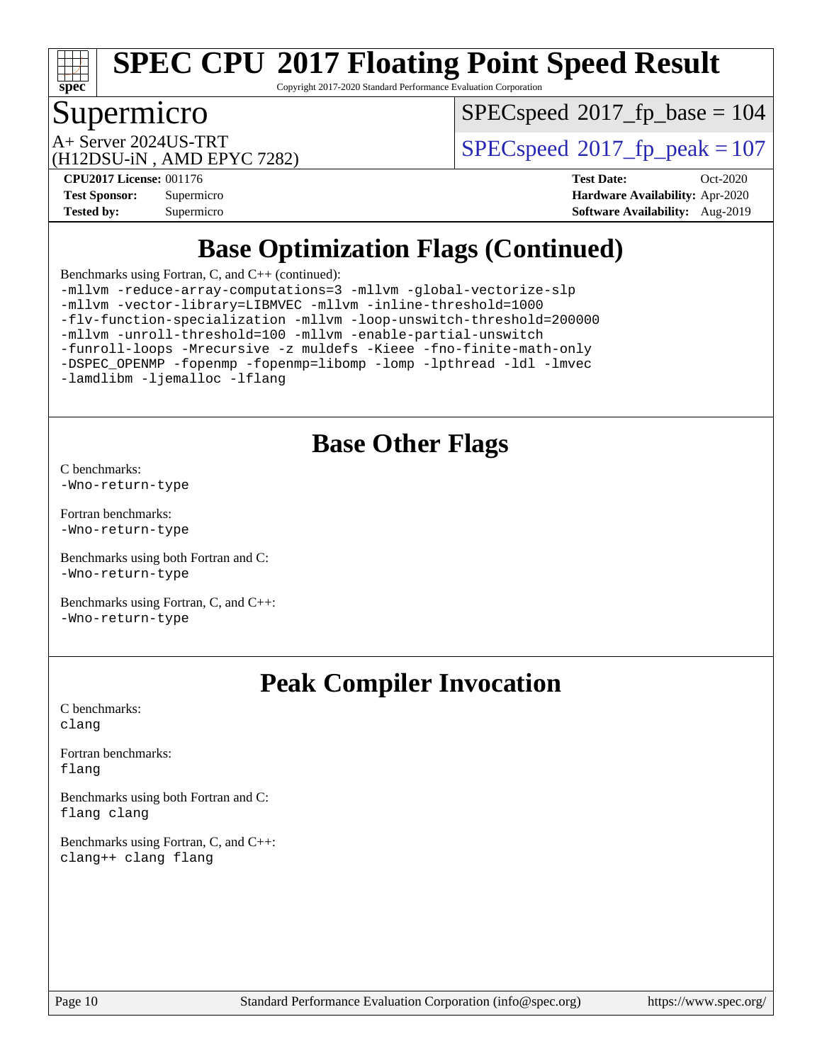

Copyright 2017-2020 Standard Performance Evaluation Corporation

# Supermicro

[SPECspeed](http://www.spec.org/auto/cpu2017/Docs/result-fields.html#SPECspeed2017fpbase)<sup>®</sup>2017 fp base = 104

(H12DSU-iN , AMD EPYC 7282)

A+ Server 2024US-TRT  $SPEC speed@2017$  fp  $peak = 107$ 

**[Tested by:](http://www.spec.org/auto/cpu2017/Docs/result-fields.html#Testedby)** Supermicro **[Software Availability:](http://www.spec.org/auto/cpu2017/Docs/result-fields.html#SoftwareAvailability)** Aug-2019

**[CPU2017 License:](http://www.spec.org/auto/cpu2017/Docs/result-fields.html#CPU2017License)** 001176 **[Test Date:](http://www.spec.org/auto/cpu2017/Docs/result-fields.html#TestDate)** Oct-2020 **[Test Sponsor:](http://www.spec.org/auto/cpu2017/Docs/result-fields.html#TestSponsor)** Supermicro **[Hardware Availability:](http://www.spec.org/auto/cpu2017/Docs/result-fields.html#HardwareAvailability)** Apr-2020

# **[Base Optimization Flags \(Continued\)](http://www.spec.org/auto/cpu2017/Docs/result-fields.html#BaseOptimizationFlags)**

[Benchmarks using Fortran, C, and C++](http://www.spec.org/auto/cpu2017/Docs/result-fields.html#BenchmarksusingFortranCandCXX) (continued):

[-mllvm -reduce-array-computations=3](http://www.spec.org/cpu2017/results/res2020q4/cpu2017-20201027-24304.flags.html#user_CC_CXX_FCbase_F-reduce-array-computations_aceadb8604558b566e0e3a0d7a3c1533923dd1fa0889614e16288028922629a28d5695c24d3b3be4306b1e311c54317dfffe3a2e57fbcaabc737a1798de39145) [-mllvm -global-vectorize-slp](http://www.spec.org/cpu2017/results/res2020q4/cpu2017-20201027-24304.flags.html#user_CC_CXX_FCbase_F-global-vectorize-slp_a3935e8627af4ced727033b1ffd4db27f4d541a363d28d82bf4c2925fb3a0fd4115d6e42d13a2829f9e024d6608eb67a85cb49770f2da5c5ac8dbc737afad603) [-mllvm -vector-library=LIBMVEC](http://www.spec.org/cpu2017/results/res2020q4/cpu2017-20201027-24304.flags.html#user_CC_CXX_FCbase_F-use-vector-library_e584e20b4f7ec96aa109254b65d8e01d864f3d68580371b9d93ed7c338191d4cfce20c3c864632264effc6bbe4c7c38153d02096a342ee92501c4a53204a7871) [-mllvm -inline-threshold=1000](http://www.spec.org/cpu2017/results/res2020q4/cpu2017-20201027-24304.flags.html#user_CC_CXX_FCbase_dragonegg-llvm-inline-threshold_b7832241b0a6397e4ecdbaf0eb7defdc10f885c2a282fa3240fdc99844d543fda39cf8a4a9dccf68cf19b5438ac3b455264f478df15da0f4988afa40d8243bab) [-flv-function-specialization](http://www.spec.org/cpu2017/results/res2020q4/cpu2017-20201027-24304.flags.html#user_CC_CXX_FCbase_F-flv-function-specialization) [-mllvm -loop-unswitch-threshold=200000](http://www.spec.org/cpu2017/results/res2020q4/cpu2017-20201027-24304.flags.html#user_CC_CXX_FCbase_F-loop-unswitch-threshold_f9a82ae3270e55b5fbf79d0d96ee93606b73edbbe527d20b18b7bff1a3a146ad50cfc7454c5297978340ae9213029016a7d16221274d672d3f7f42ed25274e1d) [-mllvm -unroll-threshold=100](http://www.spec.org/cpu2017/results/res2020q4/cpu2017-20201027-24304.flags.html#user_CC_CXX_FCbase_F-unroll-threshold_2755d0c78138845d361fa1543e3a063fffa198df9b3edf0cfb856bbc88a81e1769b12ac7a550c5d35197be55360db1a3f95a8d1304df999456cabf5120c45168) [-mllvm -enable-partial-unswitch](http://www.spec.org/cpu2017/results/res2020q4/cpu2017-20201027-24304.flags.html#user_CC_CXX_FCbase_F-enable-partial-unswitch_6e1c33f981d77963b1eaf834973128a7f33ce3f8e27f54689656697a35e89dcc875281e0e6283d043e32f367dcb605ba0e307a92e830f7e326789fa6c61b35d3) [-funroll-loops](http://www.spec.org/cpu2017/results/res2020q4/cpu2017-20201027-24304.flags.html#user_CC_CXX_FCbase_aocc-unroll-loops) [-Mrecursive](http://www.spec.org/cpu2017/results/res2020q4/cpu2017-20201027-24304.flags.html#user_CC_CXX_FCbase_F-mrecursive_20a145d63f12d5750a899e17d4450b5b8b40330a9bb4af13688ca650e6fb30857bbbe44fb35cdbb895df6e5b2769de0a0d7659f51ff17acfbef6febafec4023f) [-z muldefs](http://www.spec.org/cpu2017/results/res2020q4/cpu2017-20201027-24304.flags.html#user_CC_CXX_FCbase_aocc-muldefs) [-Kieee](http://www.spec.org/cpu2017/results/res2020q4/cpu2017-20201027-24304.flags.html#user_CC_CXX_FCbase_F-kieee) [-fno-finite-math-only](http://www.spec.org/cpu2017/results/res2020q4/cpu2017-20201027-24304.flags.html#user_CC_CXX_FCbase_aocc-fno-finite-math-only) [-DSPEC\\_OPENMP](http://www.spec.org/cpu2017/results/res2020q4/cpu2017-20201027-24304.flags.html#suite_CC_CXX_FCbase_DSPEC_OPENMP) [-fopenmp](http://www.spec.org/cpu2017/results/res2020q4/cpu2017-20201027-24304.flags.html#user_CC_CXX_FCbase_aocc-fopenmp) [-fopenmp=libomp](http://www.spec.org/cpu2017/results/res2020q4/cpu2017-20201027-24304.flags.html#user_CC_CXX_FCbase_aocc-fopenmp_3eb6ab80166bcc84161ff8c20c8d5bc344f88119f45620444596454f7d72e99b7a0ceefc2d1b4d190bd07306bbfdfc20f11f5a2dc69c9b03c72239f8406741c3) [-lomp](http://www.spec.org/cpu2017/results/res2020q4/cpu2017-20201027-24304.flags.html#user_CC_CXX_FCbase_F-lomp) [-lpthread](http://www.spec.org/cpu2017/results/res2020q4/cpu2017-20201027-24304.flags.html#user_CC_CXX_FCbase_F-lpthread) [-ldl](http://www.spec.org/cpu2017/results/res2020q4/cpu2017-20201027-24304.flags.html#user_CC_CXX_FCbase_F-ldl) [-lmvec](http://www.spec.org/cpu2017/results/res2020q4/cpu2017-20201027-24304.flags.html#user_CC_CXX_FCbase_F-lmvec) [-lamdlibm](http://www.spec.org/cpu2017/results/res2020q4/cpu2017-20201027-24304.flags.html#user_CC_CXX_FCbase_F-lamdlibm) [-ljemalloc](http://www.spec.org/cpu2017/results/res2020q4/cpu2017-20201027-24304.flags.html#user_CC_CXX_FCbase_jemalloc-lib) [-lflang](http://www.spec.org/cpu2017/results/res2020q4/cpu2017-20201027-24304.flags.html#user_CC_CXX_FCbase_F-lflang)

### **[Base Other Flags](http://www.spec.org/auto/cpu2017/Docs/result-fields.html#BaseOtherFlags)**

[C benchmarks](http://www.spec.org/auto/cpu2017/Docs/result-fields.html#Cbenchmarks): [-Wno-return-type](http://www.spec.org/cpu2017/results/res2020q4/cpu2017-20201027-24304.flags.html#user_CCbase_F-Waocc-no-return-type)

[Fortran benchmarks](http://www.spec.org/auto/cpu2017/Docs/result-fields.html#Fortranbenchmarks): [-Wno-return-type](http://www.spec.org/cpu2017/results/res2020q4/cpu2017-20201027-24304.flags.html#user_FCbase_F-Waocc-no-return-type)

[Benchmarks using both Fortran and C](http://www.spec.org/auto/cpu2017/Docs/result-fields.html#BenchmarksusingbothFortranandC): [-Wno-return-type](http://www.spec.org/cpu2017/results/res2020q4/cpu2017-20201027-24304.flags.html#user_CC_FCbase_F-Waocc-no-return-type)

[Benchmarks using Fortran, C, and C++:](http://www.spec.org/auto/cpu2017/Docs/result-fields.html#BenchmarksusingFortranCandCXX) [-Wno-return-type](http://www.spec.org/cpu2017/results/res2020q4/cpu2017-20201027-24304.flags.html#user_CC_CXX_FCbase_F-Waocc-no-return-type)

### **[Peak Compiler Invocation](http://www.spec.org/auto/cpu2017/Docs/result-fields.html#PeakCompilerInvocation)**

[C benchmarks](http://www.spec.org/auto/cpu2017/Docs/result-fields.html#Cbenchmarks): [clang](http://www.spec.org/cpu2017/results/res2020q4/cpu2017-20201027-24304.flags.html#user_CCpeak_clang-c)

[Fortran benchmarks](http://www.spec.org/auto/cpu2017/Docs/result-fields.html#Fortranbenchmarks): [flang](http://www.spec.org/cpu2017/results/res2020q4/cpu2017-20201027-24304.flags.html#user_FCpeak_flang)

[Benchmarks using both Fortran and C](http://www.spec.org/auto/cpu2017/Docs/result-fields.html#BenchmarksusingbothFortranandC): [flang](http://www.spec.org/cpu2017/results/res2020q4/cpu2017-20201027-24304.flags.html#user_CC_FCpeak_flang) [clang](http://www.spec.org/cpu2017/results/res2020q4/cpu2017-20201027-24304.flags.html#user_CC_FCpeak_clang-c)

[Benchmarks using Fortran, C, and C++:](http://www.spec.org/auto/cpu2017/Docs/result-fields.html#BenchmarksusingFortranCandCXX) [clang++](http://www.spec.org/cpu2017/results/res2020q4/cpu2017-20201027-24304.flags.html#user_CC_CXX_FCpeak_clang-cpp) [clang](http://www.spec.org/cpu2017/results/res2020q4/cpu2017-20201027-24304.flags.html#user_CC_CXX_FCpeak_clang-c) [flang](http://www.spec.org/cpu2017/results/res2020q4/cpu2017-20201027-24304.flags.html#user_CC_CXX_FCpeak_flang)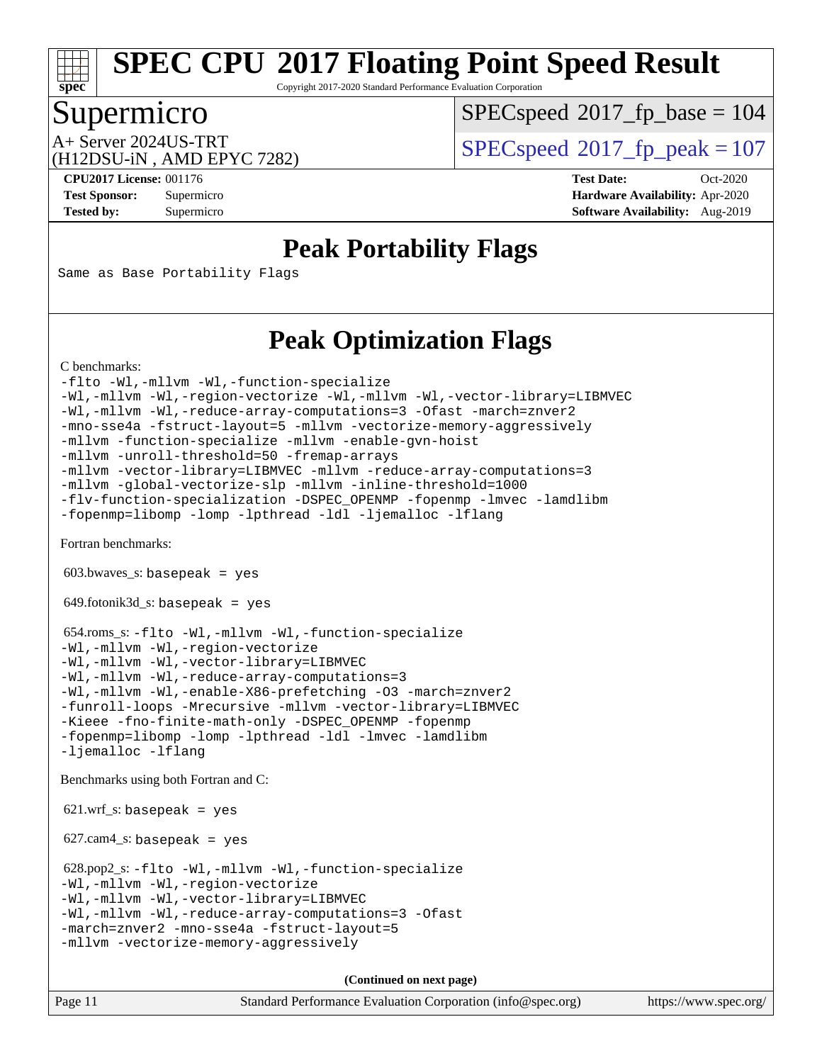Copyright 2017-2020 Standard Performance Evaluation Corporation

# Supermicro

**[spec](http://www.spec.org/)**

[SPECspeed](http://www.spec.org/auto/cpu2017/Docs/result-fields.html#SPECspeed2017fpbase)<sup>®</sup>2017 fp base = 104

(H12DSU-iN , AMD EPYC 7282)

A+ Server 2024US-TRT  $SPEC speed@2017$  fp  $peak = 107$ 

**[CPU2017 License:](http://www.spec.org/auto/cpu2017/Docs/result-fields.html#CPU2017License)** 001176 **[Test Date:](http://www.spec.org/auto/cpu2017/Docs/result-fields.html#TestDate)** Oct-2020 **[Test Sponsor:](http://www.spec.org/auto/cpu2017/Docs/result-fields.html#TestSponsor)** Supermicro **[Hardware Availability:](http://www.spec.org/auto/cpu2017/Docs/result-fields.html#HardwareAvailability)** Apr-2020 **[Tested by:](http://www.spec.org/auto/cpu2017/Docs/result-fields.html#Testedby)** Supermicro **[Software Availability:](http://www.spec.org/auto/cpu2017/Docs/result-fields.html#SoftwareAvailability)** Aug-2019

### **[Peak Portability Flags](http://www.spec.org/auto/cpu2017/Docs/result-fields.html#PeakPortabilityFlags)**

Same as Base Portability Flags

## **[Peak Optimization Flags](http://www.spec.org/auto/cpu2017/Docs/result-fields.html#PeakOptimizationFlags)**

[C benchmarks](http://www.spec.org/auto/cpu2017/Docs/result-fields.html#Cbenchmarks):

[-flto](http://www.spec.org/cpu2017/results/res2020q4/cpu2017-20201027-24304.flags.html#user_CCpeak_aocc-flto) [-Wl,-mllvm -Wl,-function-specialize](http://www.spec.org/cpu2017/results/res2020q4/cpu2017-20201027-24304.flags.html#user_CCpeak_F-function-specialize_7e7e661e57922243ee67c9a1251cb8910e607325179a0ce7f2884e09a6f5d4a5ef0ae4f37e8a2a11c95fc48e931f06dc2b6016f14b511fcb441e048bef1b065a) [-Wl,-mllvm -Wl,-region-vectorize](http://www.spec.org/cpu2017/results/res2020q4/cpu2017-20201027-24304.flags.html#user_CCpeak_F-region-vectorize_fb6c6b5aa293c88efc6c7c2b52b20755e943585b1fe8658c35afef78727fff56e1a56891413c30e36b8e2a6f9a71126986319243e80eb6110b78b288f533c52b) [-Wl,-mllvm -Wl,-vector-library=LIBMVEC](http://www.spec.org/cpu2017/results/res2020q4/cpu2017-20201027-24304.flags.html#user_CCpeak_F-use-vector-library_0a14b27fae317f283640384a31f7bfcc2bd4c1d0b5cfc618a3a430800c9b20217b00f61303eff223a3251b4f06ffbc9739dc5296db9d1fbb9ad24a3939d86d66) [-Wl,-mllvm -Wl,-reduce-array-computations=3](http://www.spec.org/cpu2017/results/res2020q4/cpu2017-20201027-24304.flags.html#user_CCpeak_F-reduce-array-computations_b882aefe7a5dda4e33149f6299762b9a720dace3e498e13756f4c04e5a19edf5315c1f3993de2e61ec41e8c206231f84e05da7040e1bb5d69ba27d10a12507e4) [-Ofast](http://www.spec.org/cpu2017/results/res2020q4/cpu2017-20201027-24304.flags.html#user_CCpeak_aocc-Ofast) [-march=znver2](http://www.spec.org/cpu2017/results/res2020q4/cpu2017-20201027-24304.flags.html#user_CCpeak_aocc-march_3e2e19cff2eeef60c5d90b059483627c9ea47eca6d66670dbd53f9185f6439e27eb5e104cf773e9e8ab18c8842ce63e461a3e948d0214bd567ef3ade411bf467) [-mno-sse4a](http://www.spec.org/cpu2017/results/res2020q4/cpu2017-20201027-24304.flags.html#user_CCpeak_F-mno-sse4a) [-fstruct-layout=5](http://www.spec.org/cpu2017/results/res2020q4/cpu2017-20201027-24304.flags.html#user_CCpeak_F-struct-layout_0de9d3561e9f54a54e0843cce081bd13a08ab3e9a82696f3346606c2e11360c37113781019b02fa128d9f650e68f1ffd209bab5c3a026c1ad23e4e7f60646b23) [-mllvm -vectorize-memory-aggressively](http://www.spec.org/cpu2017/results/res2020q4/cpu2017-20201027-24304.flags.html#user_CCpeak_F-vectorize-memory-aggressively_24b72a4417f50ade9e698c5b3bed87ab456cc6fc8ec6439480cb84f36ad6a3975af6e87206dea402e3871a1464ff3d60bc798e0250f330177ba629a260df1857) [-mllvm -function-specialize](http://www.spec.org/cpu2017/results/res2020q4/cpu2017-20201027-24304.flags.html#user_CCpeak_F-function-specialize_233b3bdba86027f1b094368157e481c5bc59f40286dc25bfadc1858dcd5745c24fd30d5f188710db7fea399bcc9f44a80b3ce3aacc70a8870250c3ae5e1f35b8) [-mllvm -enable-gvn-hoist](http://www.spec.org/cpu2017/results/res2020q4/cpu2017-20201027-24304.flags.html#user_CCpeak_F-enable-gvn-hoist_e5856354646dd6ca1333a0ad99b817e4cf8932b91b82809fd8fd47ceff7b22a89eba5c98fd3e3fa5200368fd772cec3dd56abc3c8f7b655a71b9f9848dddedd5) [-mllvm -unroll-threshold=50](http://www.spec.org/cpu2017/results/res2020q4/cpu2017-20201027-24304.flags.html#user_CCpeak_F-unroll-threshold_458874500b2c105d6d5cb4d7a611c40e2b16e9e3d26b355fea72d644c3673b4de4b3932662f0ed3dbec75c491a13da2d2ca81180bd779dc531083ef1e1e549dc) [-fremap-arrays](http://www.spec.org/cpu2017/results/res2020q4/cpu2017-20201027-24304.flags.html#user_CCpeak_F-fremap-arrays) [-mllvm -vector-library=LIBMVEC](http://www.spec.org/cpu2017/results/res2020q4/cpu2017-20201027-24304.flags.html#user_CCpeak_F-use-vector-library_e584e20b4f7ec96aa109254b65d8e01d864f3d68580371b9d93ed7c338191d4cfce20c3c864632264effc6bbe4c7c38153d02096a342ee92501c4a53204a7871) [-mllvm -reduce-array-computations=3](http://www.spec.org/cpu2017/results/res2020q4/cpu2017-20201027-24304.flags.html#user_CCpeak_F-reduce-array-computations_aceadb8604558b566e0e3a0d7a3c1533923dd1fa0889614e16288028922629a28d5695c24d3b3be4306b1e311c54317dfffe3a2e57fbcaabc737a1798de39145) [-mllvm -global-vectorize-slp](http://www.spec.org/cpu2017/results/res2020q4/cpu2017-20201027-24304.flags.html#user_CCpeak_F-global-vectorize-slp_a3935e8627af4ced727033b1ffd4db27f4d541a363d28d82bf4c2925fb3a0fd4115d6e42d13a2829f9e024d6608eb67a85cb49770f2da5c5ac8dbc737afad603) [-mllvm -inline-threshold=1000](http://www.spec.org/cpu2017/results/res2020q4/cpu2017-20201027-24304.flags.html#user_CCpeak_dragonegg-llvm-inline-threshold_b7832241b0a6397e4ecdbaf0eb7defdc10f885c2a282fa3240fdc99844d543fda39cf8a4a9dccf68cf19b5438ac3b455264f478df15da0f4988afa40d8243bab) [-flv-function-specialization](http://www.spec.org/cpu2017/results/res2020q4/cpu2017-20201027-24304.flags.html#user_CCpeak_F-flv-function-specialization) [-DSPEC\\_OPENMP](http://www.spec.org/cpu2017/results/res2020q4/cpu2017-20201027-24304.flags.html#suite_CCpeak_DSPEC_OPENMP) [-fopenmp](http://www.spec.org/cpu2017/results/res2020q4/cpu2017-20201027-24304.flags.html#user_CCpeak_aocc-fopenmp) [-lmvec](http://www.spec.org/cpu2017/results/res2020q4/cpu2017-20201027-24304.flags.html#user_CCpeak_F-lmvec) [-lamdlibm](http://www.spec.org/cpu2017/results/res2020q4/cpu2017-20201027-24304.flags.html#user_CCpeak_F-lamdlibm) [-fopenmp=libomp](http://www.spec.org/cpu2017/results/res2020q4/cpu2017-20201027-24304.flags.html#user_CCpeak_aocc-fopenmp_3eb6ab80166bcc84161ff8c20c8d5bc344f88119f45620444596454f7d72e99b7a0ceefc2d1b4d190bd07306bbfdfc20f11f5a2dc69c9b03c72239f8406741c3) [-lomp](http://www.spec.org/cpu2017/results/res2020q4/cpu2017-20201027-24304.flags.html#user_CCpeak_F-lomp) [-lpthread](http://www.spec.org/cpu2017/results/res2020q4/cpu2017-20201027-24304.flags.html#user_CCpeak_F-lpthread) [-ldl](http://www.spec.org/cpu2017/results/res2020q4/cpu2017-20201027-24304.flags.html#user_CCpeak_F-ldl) [-ljemalloc](http://www.spec.org/cpu2017/results/res2020q4/cpu2017-20201027-24304.flags.html#user_CCpeak_jemalloc-lib) [-lflang](http://www.spec.org/cpu2017/results/res2020q4/cpu2017-20201027-24304.flags.html#user_CCpeak_F-lflang)

[Fortran benchmarks](http://www.spec.org/auto/cpu2017/Docs/result-fields.html#Fortranbenchmarks):

 $603.bwaves$  s: basepeak = yes

649.fotonik3d\_s: basepeak = yes

 654.roms\_s: [-flto](http://www.spec.org/cpu2017/results/res2020q4/cpu2017-20201027-24304.flags.html#user_peakFOPTIMIZELDFLAGS654_roms_s_aocc-flto) [-Wl,-mllvm -Wl,-function-specialize](http://www.spec.org/cpu2017/results/res2020q4/cpu2017-20201027-24304.flags.html#user_peakLDFLAGS654_roms_s_F-function-specialize_7e7e661e57922243ee67c9a1251cb8910e607325179a0ce7f2884e09a6f5d4a5ef0ae4f37e8a2a11c95fc48e931f06dc2b6016f14b511fcb441e048bef1b065a) [-Wl,-mllvm -Wl,-region-vectorize](http://www.spec.org/cpu2017/results/res2020q4/cpu2017-20201027-24304.flags.html#user_peakLDFLAGS654_roms_s_F-region-vectorize_fb6c6b5aa293c88efc6c7c2b52b20755e943585b1fe8658c35afef78727fff56e1a56891413c30e36b8e2a6f9a71126986319243e80eb6110b78b288f533c52b) [-Wl,-mllvm -Wl,-vector-library=LIBMVEC](http://www.spec.org/cpu2017/results/res2020q4/cpu2017-20201027-24304.flags.html#user_peakLDFLAGS654_roms_s_F-use-vector-library_0a14b27fae317f283640384a31f7bfcc2bd4c1d0b5cfc618a3a430800c9b20217b00f61303eff223a3251b4f06ffbc9739dc5296db9d1fbb9ad24a3939d86d66) [-Wl,-mllvm -Wl,-reduce-array-computations=3](http://www.spec.org/cpu2017/results/res2020q4/cpu2017-20201027-24304.flags.html#user_peakLDFLAGS654_roms_s_F-reduce-array-computations_b882aefe7a5dda4e33149f6299762b9a720dace3e498e13756f4c04e5a19edf5315c1f3993de2e61ec41e8c206231f84e05da7040e1bb5d69ba27d10a12507e4) [-Wl,-mllvm -Wl,-enable-X86-prefetching](http://www.spec.org/cpu2017/results/res2020q4/cpu2017-20201027-24304.flags.html#user_peakLDFFLAGS654_roms_s_F-enable-X86-prefetching_362de7b2f7f327d498ff3502bcaa6d8937de40fbbc59a600e539433e6b2cb9ea5e30d4a00c3465ce74a160670b5fcaffd57d10fdc90b0d7ee2c6f387a6bf1aee) [-O3](http://www.spec.org/cpu2017/results/res2020q4/cpu2017-20201027-24304.flags.html#user_peakFOPTIMIZE654_roms_s_F-O3) [-march=znver2](http://www.spec.org/cpu2017/results/res2020q4/cpu2017-20201027-24304.flags.html#user_peakFOPTIMIZE654_roms_s_aocc-march_3e2e19cff2eeef60c5d90b059483627c9ea47eca6d66670dbd53f9185f6439e27eb5e104cf773e9e8ab18c8842ce63e461a3e948d0214bd567ef3ade411bf467) [-funroll-loops](http://www.spec.org/cpu2017/results/res2020q4/cpu2017-20201027-24304.flags.html#user_peakFOPTIMIZE654_roms_s_aocc-unroll-loops) [-Mrecursive](http://www.spec.org/cpu2017/results/res2020q4/cpu2017-20201027-24304.flags.html#user_peakFOPTIMIZE654_roms_s_F-mrecursive_20a145d63f12d5750a899e17d4450b5b8b40330a9bb4af13688ca650e6fb30857bbbe44fb35cdbb895df6e5b2769de0a0d7659f51ff17acfbef6febafec4023f) [-mllvm -vector-library=LIBMVEC](http://www.spec.org/cpu2017/results/res2020q4/cpu2017-20201027-24304.flags.html#user_peakFOPTIMIZE654_roms_s_F-use-vector-library_e584e20b4f7ec96aa109254b65d8e01d864f3d68580371b9d93ed7c338191d4cfce20c3c864632264effc6bbe4c7c38153d02096a342ee92501c4a53204a7871) [-Kieee](http://www.spec.org/cpu2017/results/res2020q4/cpu2017-20201027-24304.flags.html#user_peakEXTRA_FFLAGS654_roms_s_F-kieee) [-fno-finite-math-only](http://www.spec.org/cpu2017/results/res2020q4/cpu2017-20201027-24304.flags.html#user_peakEXTRA_FFLAGS654_roms_s_aocc-fno-finite-math-only) [-DSPEC\\_OPENMP](http://www.spec.org/cpu2017/results/res2020q4/cpu2017-20201027-24304.flags.html#suite_peakEXTRA_OPTIMIZE654_roms_s_DSPEC_OPENMP) [-fopenmp](http://www.spec.org/cpu2017/results/res2020q4/cpu2017-20201027-24304.flags.html#user_peakEXTRA_OPTIMIZE654_roms_s_aocc-fopenmp) [-fopenmp=libomp](http://www.spec.org/cpu2017/results/res2020q4/cpu2017-20201027-24304.flags.html#user_peakEXTRA_LIBS654_roms_s_aocc-fopenmp_3eb6ab80166bcc84161ff8c20c8d5bc344f88119f45620444596454f7d72e99b7a0ceefc2d1b4d190bd07306bbfdfc20f11f5a2dc69c9b03c72239f8406741c3) [-lomp](http://www.spec.org/cpu2017/results/res2020q4/cpu2017-20201027-24304.flags.html#user_peakEXTRA_LIBS654_roms_s_F-lomp) [-lpthread](http://www.spec.org/cpu2017/results/res2020q4/cpu2017-20201027-24304.flags.html#user_peakEXTRA_LIBS654_roms_s_F-lpthread) [-ldl](http://www.spec.org/cpu2017/results/res2020q4/cpu2017-20201027-24304.flags.html#user_peakEXTRA_LIBS654_roms_s_F-ldl) [-lmvec](http://www.spec.org/cpu2017/results/res2020q4/cpu2017-20201027-24304.flags.html#user_peakEXTRA_FLIBSEXTRA_LIBS654_roms_s_F-lmvec) [-lamdlibm](http://www.spec.org/cpu2017/results/res2020q4/cpu2017-20201027-24304.flags.html#user_peakEXTRA_FLIBSEXTRA_LIBS654_roms_s_F-lamdlibm) [-ljemalloc](http://www.spec.org/cpu2017/results/res2020q4/cpu2017-20201027-24304.flags.html#user_peakEXTRA_LIBS654_roms_s_jemalloc-lib) [-lflang](http://www.spec.org/cpu2017/results/res2020q4/cpu2017-20201027-24304.flags.html#user_peakEXTRA_LIBS654_roms_s_F-lflang)

[Benchmarks using both Fortran and C](http://www.spec.org/auto/cpu2017/Docs/result-fields.html#BenchmarksusingbothFortranandC):

 $621.wrf_s$ : basepeak = yes

627.cam4\_s: basepeak = yes

 628.pop2\_s: [-flto](http://www.spec.org/cpu2017/results/res2020q4/cpu2017-20201027-24304.flags.html#user_peakCOPTIMIZEFOPTIMIZELDFLAGS628_pop2_s_aocc-flto) [-Wl,-mllvm -Wl,-function-specialize](http://www.spec.org/cpu2017/results/res2020q4/cpu2017-20201027-24304.flags.html#user_peakLDFLAGS628_pop2_s_F-function-specialize_7e7e661e57922243ee67c9a1251cb8910e607325179a0ce7f2884e09a6f5d4a5ef0ae4f37e8a2a11c95fc48e931f06dc2b6016f14b511fcb441e048bef1b065a) [-Wl,-mllvm -Wl,-region-vectorize](http://www.spec.org/cpu2017/results/res2020q4/cpu2017-20201027-24304.flags.html#user_peakLDFLAGS628_pop2_s_F-region-vectorize_fb6c6b5aa293c88efc6c7c2b52b20755e943585b1fe8658c35afef78727fff56e1a56891413c30e36b8e2a6f9a71126986319243e80eb6110b78b288f533c52b) [-Wl,-mllvm -Wl,-vector-library=LIBMVEC](http://www.spec.org/cpu2017/results/res2020q4/cpu2017-20201027-24304.flags.html#user_peakLDFLAGS628_pop2_s_F-use-vector-library_0a14b27fae317f283640384a31f7bfcc2bd4c1d0b5cfc618a3a430800c9b20217b00f61303eff223a3251b4f06ffbc9739dc5296db9d1fbb9ad24a3939d86d66) [-Wl,-mllvm -Wl,-reduce-array-computations=3](http://www.spec.org/cpu2017/results/res2020q4/cpu2017-20201027-24304.flags.html#user_peakLDFLAGS628_pop2_s_F-reduce-array-computations_b882aefe7a5dda4e33149f6299762b9a720dace3e498e13756f4c04e5a19edf5315c1f3993de2e61ec41e8c206231f84e05da7040e1bb5d69ba27d10a12507e4) [-Ofast](http://www.spec.org/cpu2017/results/res2020q4/cpu2017-20201027-24304.flags.html#user_peakCOPTIMIZE628_pop2_s_aocc-Ofast) [-march=znver2](http://www.spec.org/cpu2017/results/res2020q4/cpu2017-20201027-24304.flags.html#user_peakCOPTIMIZEFOPTIMIZE628_pop2_s_aocc-march_3e2e19cff2eeef60c5d90b059483627c9ea47eca6d66670dbd53f9185f6439e27eb5e104cf773e9e8ab18c8842ce63e461a3e948d0214bd567ef3ade411bf467) [-mno-sse4a](http://www.spec.org/cpu2017/results/res2020q4/cpu2017-20201027-24304.flags.html#user_peakCOPTIMIZE628_pop2_s_F-mno-sse4a) [-fstruct-layout=5](http://www.spec.org/cpu2017/results/res2020q4/cpu2017-20201027-24304.flags.html#user_peakCOPTIMIZE628_pop2_s_F-struct-layout_0de9d3561e9f54a54e0843cce081bd13a08ab3e9a82696f3346606c2e11360c37113781019b02fa128d9f650e68f1ffd209bab5c3a026c1ad23e4e7f60646b23) [-mllvm -vectorize-memory-aggressively](http://www.spec.org/cpu2017/results/res2020q4/cpu2017-20201027-24304.flags.html#user_peakCOPTIMIZE628_pop2_s_F-vectorize-memory-aggressively_24b72a4417f50ade9e698c5b3bed87ab456cc6fc8ec6439480cb84f36ad6a3975af6e87206dea402e3871a1464ff3d60bc798e0250f330177ba629a260df1857)

**(Continued on next page)**